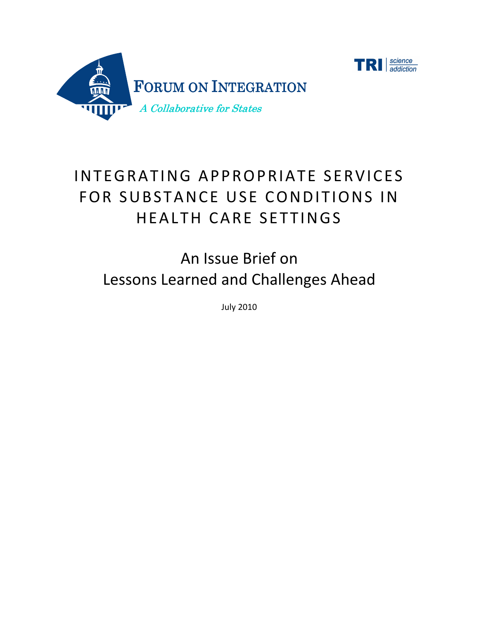



# INTEGRATING APPROPRIATE SERVICES FOR SUBSTANCE USE CONDITIONS IN HEALTH CARE SETTINGS

# An Issue Brief on Lessons Learned and Challenges Ahead

July 2010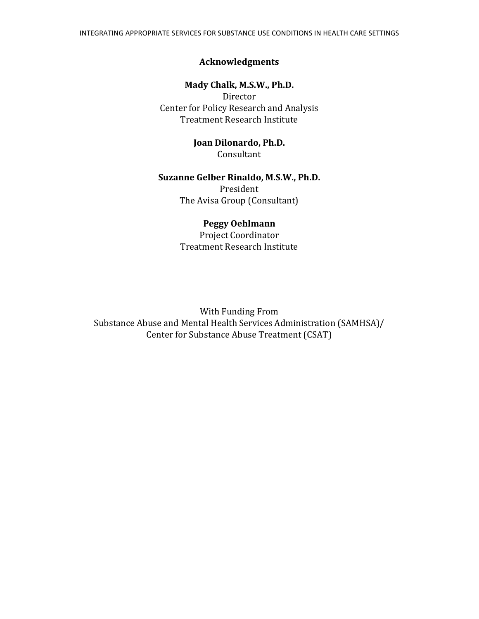# Acknowledgments

# Mady Chalk, M.S.W., Ph.D.

Director Center for Policy Research and Analysis Treatment Research Institute

# Joan Dilonardo, Ph.D.

Consultant

# Suzanne Gelber Rinaldo, M.S.W., Ph.D.

President The Avisa Group (Consultant)

# Peggy Oehlmann

Project Coordinator Treatment Research Institute

With Funding From Substance Abuse and Mental Health Services Administration (SAMHSA)/ Center for Substance Abuse Treatment (CSAT)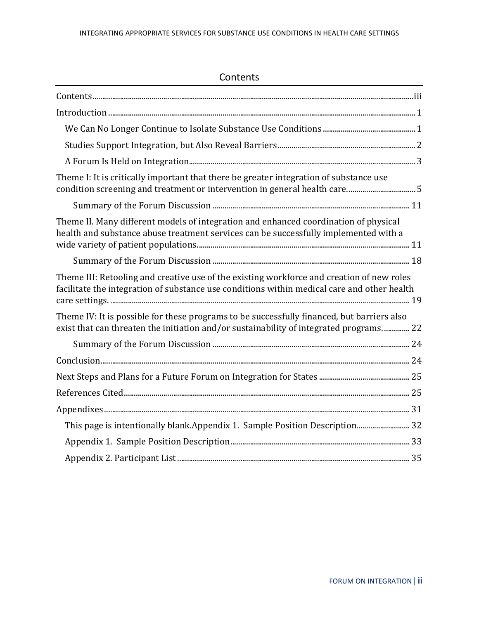# **Contents**

| Theme I: It is critically important that there be greater integration of substance use                                                                                                   |
|------------------------------------------------------------------------------------------------------------------------------------------------------------------------------------------|
|                                                                                                                                                                                          |
| Theme II. Many different models of integration and enhanced coordination of physical<br>health and substance abuse treatment services can be successfully implemented with a             |
|                                                                                                                                                                                          |
| Theme III: Retooling and creative use of the existing workforce and creation of new roles<br>facilitate the integration of substance use conditions within medical care and other health |
| Theme IV: It is possible for these programs to be successfully financed, but barriers also<br>exist that can threaten the initiation and/or sustainability of integrated programs 22     |
|                                                                                                                                                                                          |
|                                                                                                                                                                                          |
|                                                                                                                                                                                          |
|                                                                                                                                                                                          |
|                                                                                                                                                                                          |
| This page is intentionally blank.Appendix 1. Sample Position Description 32                                                                                                              |
|                                                                                                                                                                                          |
|                                                                                                                                                                                          |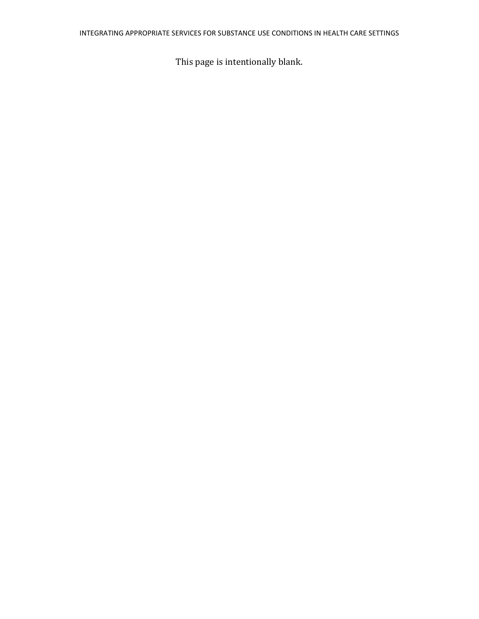This page is intentionally blank.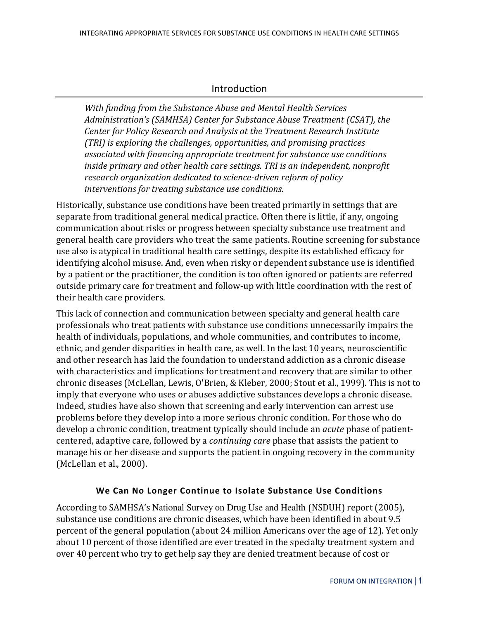# Introduction

With funding from the Substance Abuse and Mental Health Services Administration's (SAMHSA) Center for Substance Abuse Treatment (CSAT), the Center for Policy Research and Analysis at the Treatment Research Institute (TRI) is exploring the challenges, opportunities, and promising practices associated with financing appropriate treatment for substance use conditions inside primary and other health care settings. TRI is an independent, nonprofit research organization dedicated to science-driven reform of policy interventions for treating substance use conditions.

Historically, substance use conditions have been treated primarily in settings that are separate from traditional general medical practice. Often there is little, if any, ongoing communication about risks or progress between specialty substance use treatment and general health care providers who treat the same patients. Routine screening for substance use also is atypical in traditional health care settings, despite its established efficacy for identifying alcohol misuse. And, even when risky or dependent substance use is identified by a patient or the practitioner, the condition is too often ignored or patients are referred outside primary care for treatment and follow-up with little coordination with the rest of their health care providers.

This lack of connection and communication between specialty and general health care professionals who treat patients with substance use conditions unnecessarily impairs the health of individuals, populations, and whole communities, and contributes to income, ethnic, and gender disparities in health care, as well. In the last 10 years, neuroscientific and other research has laid the foundation to understand addiction as a chronic disease with characteristics and implications for treatment and recovery that are similar to other chronic diseases (McLellan, Lewis, O'Brien, & Kleber, 2000; Stout et al., 1999). This is not to imply that everyone who uses or abuses addictive substances develops a chronic disease. Indeed, studies have also shown that screening and early intervention can arrest use problems before they develop into a more serious chronic condition. For those who do develop a chronic condition, treatment typically should include an *acute* phase of patientcentered, adaptive care, followed by a continuing care phase that assists the patient to manage his or her disease and supports the patient in ongoing recovery in the community (McLellan et al., 2000).

## We Can No Longer Continue to Isolate Substance Use Conditions

According to SAMHSA's National Survey on Drug Use and Health (NSDUH) report (2005), substance use conditions are chronic diseases, which have been identified in about 9.5 percent of the general population (about 24 million Americans over the age of 12). Yet only about 10 percent of those identified are ever treated in the specialty treatment system and over 40 percent who try to get help say they are denied treatment because of cost or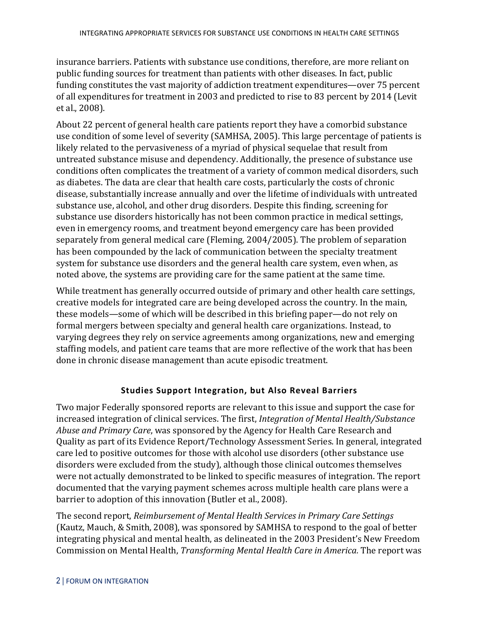insurance barriers. Patients with substance use conditions, therefore, are more reliant on public funding sources for treatment than patients with other diseases. In fact, public funding constitutes the vast majority of addiction treatment expenditures—over 75 percent of all expenditures for treatment in 2003 and predicted to rise to 83 percent by 2014 (Levit et al., 2008).

About 22 percent of general health care patients report they have a comorbid substance use condition of some level of severity (SAMHSA, 2005). This large percentage of patients is likely related to the pervasiveness of a myriad of physical sequelae that result from untreated substance misuse and dependency. Additionally, the presence of substance use conditions often complicates the treatment of a variety of common medical disorders, such as diabetes. The data are clear that health care costs, particularly the costs of chronic disease, substantially increase annually and over the lifetime of individuals with untreated substance use, alcohol, and other drug disorders. Despite this finding, screening for substance use disorders historically has not been common practice in medical settings, even in emergency rooms, and treatment beyond emergency care has been provided separately from general medical care (Fleming, 2004/2005). The problem of separation has been compounded by the lack of communication between the specialty treatment system for substance use disorders and the general health care system, even when, as noted above, the systems are providing care for the same patient at the same time.

While treatment has generally occurred outside of primary and other health care settings, creative models for integrated care are being developed across the country. In the main, these models—some of which will be described in this briefing paper—do not rely on formal mergers between specialty and general health care organizations. Instead, to varying degrees they rely on service agreements among organizations, new and emerging staffing models, and patient care teams that are more reflective of the work that has been done in chronic disease management than acute episodic treatment.

# Studies Support Integration, but Also Reveal Barriers

Two major Federally sponsored reports are relevant to this issue and support the case for increased integration of clinical services. The first, Integration of Mental Health/Substance Abuse and Primary Care, was sponsored by the Agency for Health Care Research and Quality as part of its Evidence Report/Technology Assessment Series. In general, integrated care led to positive outcomes for those with alcohol use disorders (other substance use disorders were excluded from the study), although those clinical outcomes themselves were not actually demonstrated to be linked to specific measures of integration. The report documented that the varying payment schemes across multiple health care plans were a barrier to adoption of this innovation (Butler et al., 2008).

The second report, Reimbursement of Mental Health Services in Primary Care Settings (Kautz, Mauch, & Smith, 2008), was sponsored by SAMHSA to respond to the goal of better integrating physical and mental health, as delineated in the 2003 President's New Freedom Commission on Mental Health, Transforming Mental Health Care in America. The report was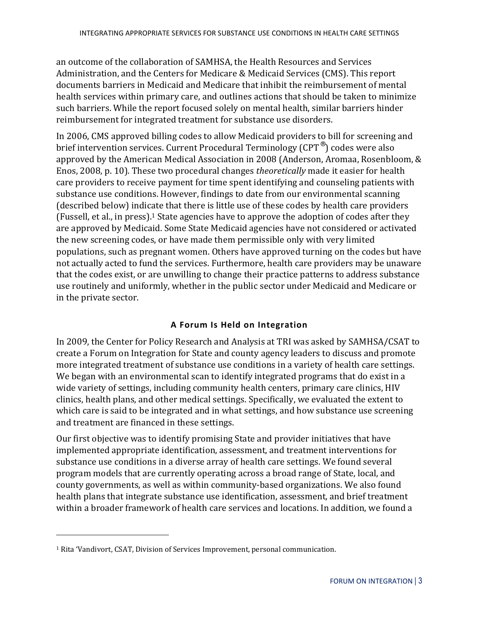an outcome of the collaboration of SAMHSA, the Health Resources and Services Administration, and the Centers for Medicare & Medicaid Services (CMS). This report documents barriers in Medicaid and Medicare that inhibit the reimbursement of mental health services within primary care, and outlines actions that should be taken to minimize such barriers. While the report focused solely on mental health, similar barriers hinder reimbursement for integrated treatment for substance use disorders.

In 2006, CMS approved billing codes to allow Medicaid providers to bill for screening and brief intervention services. Current Procedural Terminology (CPT ®) codes were also approved by the American Medical Association in 2008 (Anderson, Aromaa, Rosenbloom, & Enos, 2008, p. 10). These two procedural changes theoretically made it easier for health care providers to receive payment for time spent identifying and counseling patients with substance use conditions. However, findings to date from our environmental scanning (described below) indicate that there is little use of these codes by health care providers (Fussell, et al., in press).<sup>1</sup> State agencies have to approve the adoption of codes after they are approved by Medicaid. Some State Medicaid agencies have not considered or activated the new screening codes, or have made them permissible only with very limited populations, such as pregnant women. Others have approved turning on the codes but have not actually acted to fund the services. Furthermore, health care providers may be unaware that the codes exist, or are unwilling to change their practice patterns to address substance use routinely and uniformly, whether in the public sector under Medicaid and Medicare or in the private sector.

# A Forum Is Held on Integration

In 2009, the Center for Policy Research and Analysis at TRI was asked by SAMHSA/CSAT to create a Forum on Integration for State and county agency leaders to discuss and promote more integrated treatment of substance use conditions in a variety of health care settings. We began with an environmental scan to identify integrated programs that do exist in a wide variety of settings, including community health centers, primary care clinics, HIV clinics, health plans, and other medical settings. Specifically, we evaluated the extent to which care is said to be integrated and in what settings, and how substance use screening and treatment are financed in these settings.

Our first objective was to identify promising State and provider initiatives that have implemented appropriate identification, assessment, and treatment interventions for substance use conditions in a diverse array of health care settings. We found several program models that are currently operating across a broad range of State, local, and county governments, as well as within community-based organizations. We also found health plans that integrate substance use identification, assessment, and brief treatment within a broader framework of health care services and locations. In addition, we found a

 $\overline{a}$ 

<sup>1</sup> Rita 'Vandivort, CSAT, Division of Services Improvement, personal communication.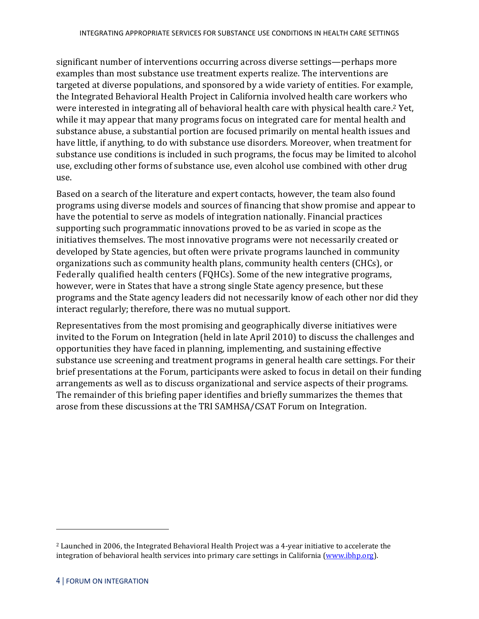significant number of interventions occurring across diverse settings—perhaps more examples than most substance use treatment experts realize. The interventions are targeted at diverse populations, and sponsored by a wide variety of entities. For example, the Integrated Behavioral Health Project in California involved health care workers who were interested in integrating all of behavioral health care with physical health care.2 Yet, while it may appear that many programs focus on integrated care for mental health and substance abuse, a substantial portion are focused primarily on mental health issues and have little, if anything, to do with substance use disorders. Moreover, when treatment for substance use conditions is included in such programs, the focus may be limited to alcohol use, excluding other forms of substance use, even alcohol use combined with other drug use.

Based on a search of the literature and expert contacts, however, the team also found programs using diverse models and sources of financing that show promise and appear to have the potential to serve as models of integration nationally. Financial practices supporting such programmatic innovations proved to be as varied in scope as the initiatives themselves. The most innovative programs were not necessarily created or developed by State agencies, but often were private programs launched in community organizations such as community health plans, community health centers (CHCs), or Federally qualified health centers (FQHCs). Some of the new integrative programs, however, were in States that have a strong single State agency presence, but these programs and the State agency leaders did not necessarily know of each other nor did they interact regularly; therefore, there was no mutual support.

Representatives from the most promising and geographically diverse initiatives were invited to the Forum on Integration (held in late April 2010) to discuss the challenges and opportunities they have faced in planning, implementing, and sustaining effective substance use screening and treatment programs in general health care settings. For their brief presentations at the Forum, participants were asked to focus in detail on their funding arrangements as well as to discuss organizational and service aspects of their programs. The remainder of this briefing paper identifies and briefly summarizes the themes that arose from these discussions at the TRI SAMHSA/CSAT Forum on Integration.

 $\overline{a}$ 

<sup>2</sup> Launched in 2006, the Integrated Behavioral Health Project was a 4-year initiative to accelerate the integration of behavioral health services into primary care settings in California (www.ibhp.org).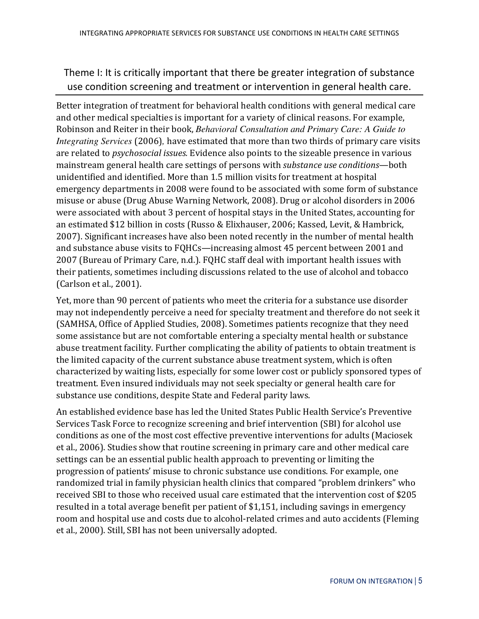# Theme I: It is critically important that there be greater integration of substance use condition screening and treatment or intervention in general health care.

Better integration of treatment for behavioral health conditions with general medical care and other medical specialties is important for a variety of clinical reasons. For example, Robinson and Reiter in their book, *Behavioral Consultation and Primary Care: A Guide to Integrating Services* (2006)*,* have estimated that more than two thirds of primary care visits are related to psychosocial issues. Evidence also points to the sizeable presence in various mainstream general health care settings of persons with substance use conditions—both unidentified and identified. More than 1.5 million visits for treatment at hospital emergency departments in 2008 were found to be associated with some form of substance misuse or abuse (Drug Abuse Warning Network, 2008). Drug or alcohol disorders in 2006 were associated with about 3 percent of hospital stays in the United States, accounting for an estimated \$12 billion in costs (Russo & Elixhauser, 2006; Kassed, Levit, & Hambrick, 2007). Significant increases have also been noted recently in the number of mental health and substance abuse visits to FQHCs—increasing almost 45 percent between 2001 and 2007 (Bureau of Primary Care, n.d.). FQHC staff deal with important health issues with their patients, sometimes including discussions related to the use of alcohol and tobacco (Carlson et al., 2001).

Yet, more than 90 percent of patients who meet the criteria for a substance use disorder may not independently perceive a need for specialty treatment and therefore do not seek it (SAMHSA, Office of Applied Studies, 2008). Sometimes patients recognize that they need some assistance but are not comfortable entering a specialty mental health or substance abuse treatment facility. Further complicating the ability of patients to obtain treatment is the limited capacity of the current substance abuse treatment system, which is often characterized by waiting lists, especially for some lower cost or publicly sponsored types of treatment. Even insured individuals may not seek specialty or general health care for substance use conditions, despite State and Federal parity laws.

An established evidence base has led the United States Public Health Service's Preventive Services Task Force to recognize screening and brief intervention (SBI) for alcohol use conditions as one of the most cost effective preventive interventions for adults (Maciosek et al., 2006). Studies show that routine screening in primary care and other medical care settings can be an essential public health approach to preventing or limiting the progression of patients' misuse to chronic substance use conditions. For example, one randomized trial in family physician health clinics that compared "problem drinkers" who received SBI to those who received usual care estimated that the intervention cost of \$205 resulted in a total average benefit per patient of \$1,151, including savings in emergency room and hospital use and costs due to alcohol-related crimes and auto accidents (Fleming et al., 2000). Still, SBI has not been universally adopted.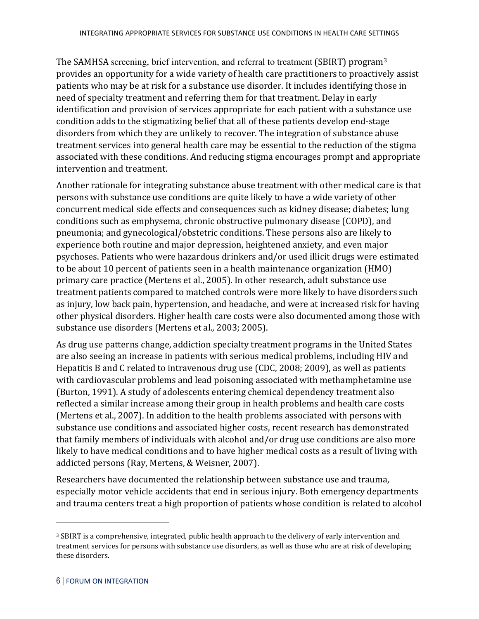The SAMHSA screening, brief intervention, and referral to treatment (SBIRT) program<sup>3</sup> provides an opportunity for a wide variety of health care practitioners to proactively assist patients who may be at risk for a substance use disorder. It includes identifying those in need of specialty treatment and referring them for that treatment. Delay in early identification and provision of services appropriate for each patient with a substance use condition adds to the stigmatizing belief that all of these patients develop end-stage disorders from which they are unlikely to recover. The integration of substance abuse treatment services into general health care may be essential to the reduction of the stigma associated with these conditions. And reducing stigma encourages prompt and appropriate intervention and treatment.

Another rationale for integrating substance abuse treatment with other medical care is that persons with substance use conditions are quite likely to have a wide variety of other concurrent medical side effects and consequences such as kidney disease; diabetes; lung conditions such as emphysema, chronic obstructive pulmonary disease (COPD), and pneumonia; and gynecological/obstetric conditions. These persons also are likely to experience both routine and major depression, heightened anxiety, and even major psychoses. Patients who were hazardous drinkers and/or used illicit drugs were estimated to be about 10 percent of patients seen in a health maintenance organization (HMO) primary care practice (Mertens et al., 2005). In other research, adult substance use treatment patients compared to matched controls were more likely to have disorders such as injury, low back pain, hypertension, and headache, and were at increased risk for having other physical disorders. Higher health care costs were also documented among those with substance use disorders (Mertens et al., 2003; 2005).

As drug use patterns change, addiction specialty treatment programs in the United States are also seeing an increase in patients with serious medical problems, including HIV and Hepatitis B and C related to intravenous drug use (CDC, 2008; 2009), as well as patients with cardiovascular problems and lead poisoning associated with methamphetamine use (Burton, 1991). A study of adolescents entering chemical dependency treatment also reflected a similar increase among their group in health problems and health care costs (Mertens et al., 2007). In addition to the health problems associated with persons with substance use conditions and associated higher costs, recent research has demonstrated that family members of individuals with alcohol and/or drug use conditions are also more likely to have medical conditions and to have higher medical costs as a result of living with addicted persons (Ray, Mertens, & Weisner, 2007).

Researchers have documented the relationship between substance use and trauma, especially motor vehicle accidents that end in serious injury. Both emergency departments and trauma centers treat a high proportion of patients whose condition is related to alcohol

 $\overline{a}$ 

<sup>&</sup>lt;sup>3</sup> SBIRT is a comprehensive, integrated, public health approach to the delivery of early intervention and treatment services for persons with substance use disorders, as well as those who are at risk of developing these disorders.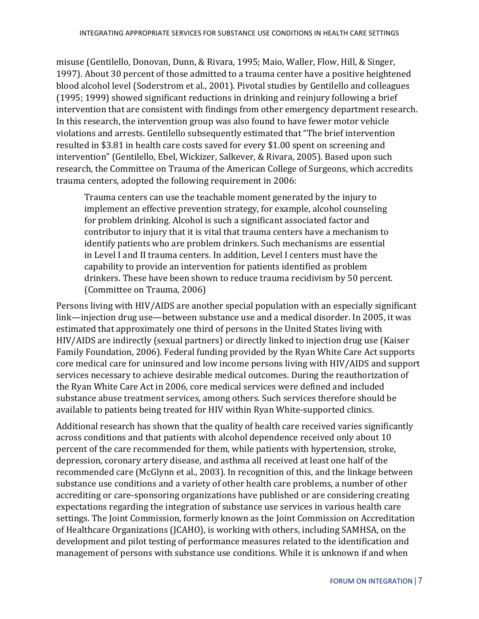misuse (Gentilello, Donovan, Dunn, & Rivara, 1995; Maio, Waller, Flow, Hill, & Singer, 1997). About 30 percent of those admitted to a trauma center have a positive heightened blood alcohol level (Soderstrom et al., 2001). Pivotal studies by Gentilello and colleagues (1995; 1999) showed significant reductions in drinking and reinjury following a brief intervention that are consistent with findings from other emergency department research. In this research, the intervention group was also found to have fewer motor vehicle violations and arrests. Gentilello subsequently estimated that "The brief intervention resulted in \$3.81 in health care costs saved for every \$1.00 spent on screening and intervention" (Gentilello, Ebel, Wickizer, Salkever, & Rivara, 2005). Based upon such research, the Committee on Trauma of the American College of Surgeons, which accredits trauma centers, adopted the following requirement in 2006:

Trauma centers can use the teachable moment generated by the injury to implement an effective prevention strategy, for example, alcohol counseling for problem drinking. Alcohol is such a significant associated factor and contributor to injury that it is vital that trauma centers have a mechanism to identify patients who are problem drinkers. Such mechanisms are essential in Level I and II trauma centers. In addition, Level I centers must have the capability to provide an intervention for patients identified as problem drinkers. These have been shown to reduce trauma recidivism by 50 percent. (Committee on Trauma, 2006)

Persons living with HIV/AIDS are another special population with an especially significant link—injection drug use—between substance use and a medical disorder. In 2005, it was estimated that approximately one third of persons in the United States living with HIV/AIDS are indirectly (sexual partners) or directly linked to injection drug use (Kaiser Family Foundation, 2006). Federal funding provided by the Ryan White Care Act supports core medical care for uninsured and low income persons living with HIV/AIDS and support services necessary to achieve desirable medical outcomes. During the reauthorization of the Ryan White Care Act in 2006, core medical services were defined and included substance abuse treatment services, among others. Such services therefore should be available to patients being treated for HIV within Ryan White-supported clinics.

Additional research has shown that the quality of health care received varies significantly across conditions and that patients with alcohol dependence received only about 10 percent of the care recommended for them, while patients with hypertension, stroke, depression, coronary artery disease, and asthma all received at least one half of the recommended care (McGlynn et al., 2003). In recognition of this, and the linkage between substance use conditions and a variety of other health care problems, a number of other accrediting or care-sponsoring organizations have published or are considering creating expectations regarding the integration of substance use services in various health care settings. The Joint Commission, formerly known as the Joint Commission on Accreditation of Healthcare Organizations (JCAHO), is working with others, including SAMHSA, on the development and pilot testing of performance measures related to the identification and management of persons with substance use conditions. While it is unknown if and when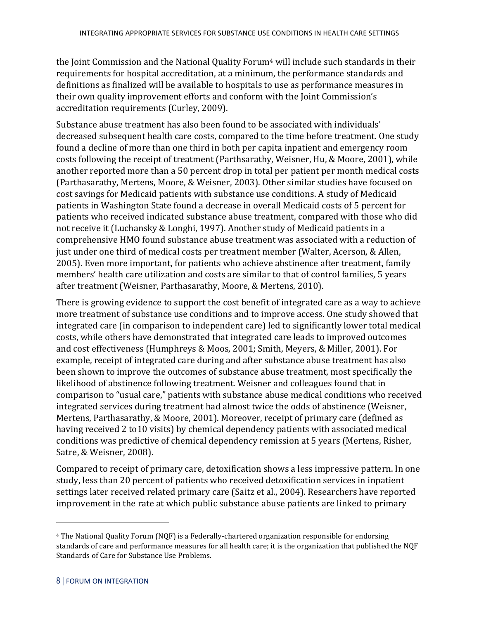the Joint Commission and the National Quality Forum4 will include such standards in their requirements for hospital accreditation, at a minimum, the performance standards and definitions as finalized will be available to hospitals to use as performance measures in their own quality improvement efforts and conform with the Joint Commission's accreditation requirements (Curley, 2009).

Substance abuse treatment has also been found to be associated with individuals' decreased subsequent health care costs, compared to the time before treatment. One study found a decline of more than one third in both per capita inpatient and emergency room costs following the receipt of treatment (Parthsarathy, Weisner, Hu, & Moore, 2001), while another reported more than a 50 percent drop in total per patient per month medical costs (Parthasarathy, Mertens, Moore, & Weisner, 2003). Other similar studies have focused on cost savings for Medicaid patients with substance use conditions. A study of Medicaid patients in Washington State found a decrease in overall Medicaid costs of 5 percent for patients who received indicated substance abuse treatment, compared with those who did not receive it (Luchansky & Longhi, 1997). Another study of Medicaid patients in a comprehensive HMO found substance abuse treatment was associated with a reduction of just under one third of medical costs per treatment member (Walter, Acerson, & Allen, 2005). Even more important, for patients who achieve abstinence after treatment, family members' health care utilization and costs are similar to that of control families, 5 years after treatment (Weisner, Parthasarathy, Moore, & Mertens, 2010).

There is growing evidence to support the cost benefit of integrated care as a way to achieve more treatment of substance use conditions and to improve access. One study showed that integrated care (in comparison to independent care) led to significantly lower total medical costs, while others have demonstrated that integrated care leads to improved outcomes and cost effectiveness (Humphreys & Moos, 2001; Smith, Meyers, & Miller, 2001). For example, receipt of integrated care during and after substance abuse treatment has also been shown to improve the outcomes of substance abuse treatment, most specifically the likelihood of abstinence following treatment. Weisner and colleagues found that in comparison to "usual care," patients with substance abuse medical conditions who received integrated services during treatment had almost twice the odds of abstinence (Weisner, Mertens, Parthasarathy, & Moore, 2001). Moreover, receipt of primary care (defined as having received 2 to10 visits) by chemical dependency patients with associated medical conditions was predictive of chemical dependency remission at 5 years (Mertens, Risher, Satre, & Weisner, 2008).

Compared to receipt of primary care, detoxification shows a less impressive pattern. In one study, less than 20 percent of patients who received detoxification services in inpatient settings later received related primary care (Saitz et al., 2004). Researchers have reported improvement in the rate at which public substance abuse patients are linked to primary

 $\overline{a}$ 

<sup>4</sup> The National Quality Forum (NQF) is a Federally-chartered organization responsible for endorsing standards of care and performance measures for all health care; it is the organization that published the NQF Standards of Care for Substance Use Problems.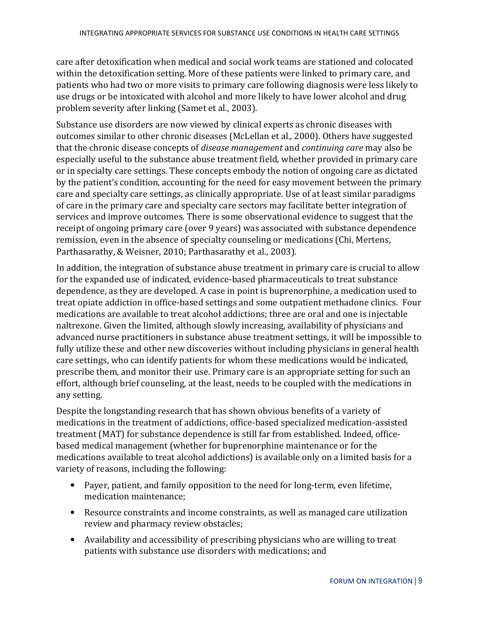care after detoxification when medical and social work teams are stationed and colocated within the detoxification setting. More of these patients were linked to primary care, and patients who had two or more visits to primary care following diagnosis were less likely to use drugs or be intoxicated with alcohol and more likely to have lower alcohol and drug problem severity after linking (Samet et al., 2003).

Substance use disorders are now viewed by clinical experts as chronic diseases with outcomes similar to other chronic diseases (McLellan et al., 2000). Others have suggested that the chronic disease concepts of disease management and continuing care may also be especially useful to the substance abuse treatment field, whether provided in primary care or in specialty care settings. These concepts embody the notion of ongoing care as dictated by the patient's condition, accounting for the need for easy movement between the primary care and specialty care settings, as clinically appropriate. Use of at least similar paradigms of care in the primary care and specialty care sectors may facilitate better integration of services and improve outcomes. There is some observational evidence to suggest that the receipt of ongoing primary care (over 9 years) was associated with substance dependence remission, even in the absence of specialty counseling or medications (Chi, Mertens, Parthasarathy, & Weisner, 2010; Parthasarathy et al., 2003).

In addition, the integration of substance abuse treatment in primary care is crucial to allow for the expanded use of indicated, evidence-based pharmaceuticals to treat substance dependence, as they are developed. A case in point is buprenorphine, a medication used to treat opiate addiction in office-based settings and some outpatient methadone clinics. Four medications are available to treat alcohol addictions; three are oral and one is injectable naltrexone. Given the limited, although slowly increasing, availability of physicians and advanced nurse practitioners in substance abuse treatment settings, it will be impossible to fully utilize these and other new discoveries without including physicians in general health care settings, who can identify patients for whom these medications would be indicated, prescribe them, and monitor their use. Primary care is an appropriate setting for such an effort, although brief counseling, at the least, needs to be coupled with the medications in any setting.

Despite the longstanding research that has shown obvious benefits of a variety of medications in the treatment of addictions, office-based specialized medication-assisted treatment (MAT) for substance dependence is still far from established. Indeed, officebased medical management (whether for buprenorphine maintenance or for the medications available to treat alcohol addictions) is available only on a limited basis for a variety of reasons, including the following:

- Payer, patient, and family opposition to the need for long-term, even lifetime, medication maintenance;
- Resource constraints and income constraints, as well as managed care utilization review and pharmacy review obstacles;
- Availability and accessibility of prescribing physicians who are willing to treat patients with substance use disorders with medications; and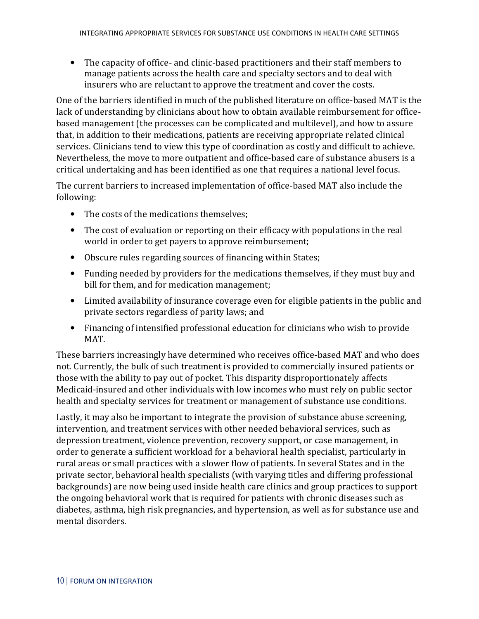• The capacity of office- and clinic-based practitioners and their staff members to manage patients across the health care and specialty sectors and to deal with insurers who are reluctant to approve the treatment and cover the costs.

One of the barriers identified in much of the published literature on office-based MAT is the lack of understanding by clinicians about how to obtain available reimbursement for officebased management (the processes can be complicated and multilevel), and how to assure that, in addition to their medications, patients are receiving appropriate related clinical services. Clinicians tend to view this type of coordination as costly and difficult to achieve. Nevertheless, the move to more outpatient and office-based care of substance abusers is a critical undertaking and has been identified as one that requires a national level focus.

The current barriers to increased implementation of office-based MAT also include the following:

- The costs of the medications themselves:
- The cost of evaluation or reporting on their efficacy with populations in the real world in order to get payers to approve reimbursement;
- Obscure rules regarding sources of financing within States;
- Funding needed by providers for the medications themselves, if they must buy and bill for them, and for medication management;
- Limited availability of insurance coverage even for eligible patients in the public and private sectors regardless of parity laws; and
- Financing of intensified professional education for clinicians who wish to provide MAT.

These barriers increasingly have determined who receives office-based MAT and who does not. Currently, the bulk of such treatment is provided to commercially insured patients or those with the ability to pay out of pocket. This disparity disproportionately affects Medicaid-insured and other individuals with low incomes who must rely on public sector health and specialty services for treatment or management of substance use conditions.

Lastly, it may also be important to integrate the provision of substance abuse screening, intervention, and treatment services with other needed behavioral services, such as depression treatment, violence prevention, recovery support, or case management, in order to generate a sufficient workload for a behavioral health specialist, particularly in rural areas or small practices with a slower flow of patients. In several States and in the private sector, behavioral health specialists (with varying titles and differing professional backgrounds) are now being used inside health care clinics and group practices to support the ongoing behavioral work that is required for patients with chronic diseases such as diabetes, asthma, high risk pregnancies, and hypertension, as well as for substance use and mental disorders.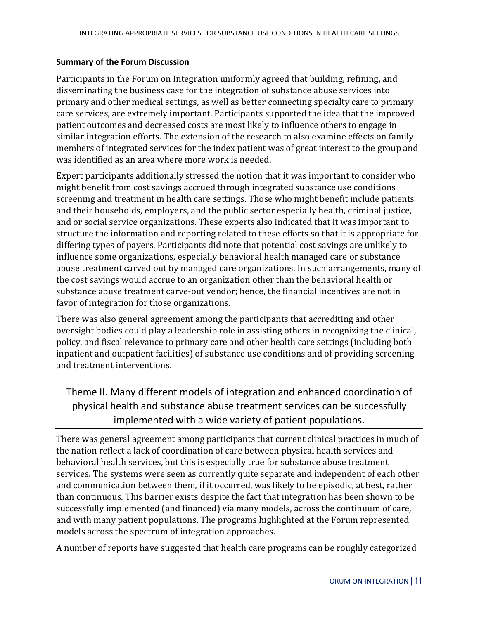# Summary of the Forum Discussion

Participants in the Forum on Integration uniformly agreed that building, refining, and disseminating the business case for the integration of substance abuse services into primary and other medical settings, as well as better connecting specialty care to primary care services, are extremely important. Participants supported the idea that the improved patient outcomes and decreased costs are most likely to influence others to engage in similar integration efforts. The extension of the research to also examine effects on family members of integrated services for the index patient was of great interest to the group and was identified as an area where more work is needed.

Expert participants additionally stressed the notion that it was important to consider who might benefit from cost savings accrued through integrated substance use conditions screening and treatment in health care settings. Those who might benefit include patients and their households, employers, and the public sector especially health, criminal justice, and or social service organizations. These experts also indicated that it was important to structure the information and reporting related to these efforts so that it is appropriate for differing types of payers. Participants did note that potential cost savings are unlikely to influence some organizations, especially behavioral health managed care or substance abuse treatment carved out by managed care organizations. In such arrangements, many of the cost savings would accrue to an organization other than the behavioral health or substance abuse treatment carve-out vendor; hence, the financial incentives are not in favor of integration for those organizations.

There was also general agreement among the participants that accrediting and other oversight bodies could play a leadership role in assisting others in recognizing the clinical, policy, and fiscal relevance to primary care and other health care settings (including both inpatient and outpatient facilities) of substance use conditions and of providing screening and treatment interventions.

Theme II. Many different models of integration and enhanced coordination of physical health and substance abuse treatment services can be successfully implemented with a wide variety of patient populations.

There was general agreement among participants that current clinical practices in much of the nation reflect a lack of coordination of care between physical health services and behavioral health services, but this is especially true for substance abuse treatment services. The systems were seen as currently quite separate and independent of each other and communication between them, if it occurred, was likely to be episodic, at best, rather than continuous. This barrier exists despite the fact that integration has been shown to be successfully implemented (and financed) via many models, across the continuum of care, and with many patient populations. The programs highlighted at the Forum represented models across the spectrum of integration approaches.

A number of reports have suggested that health care programs can be roughly categorized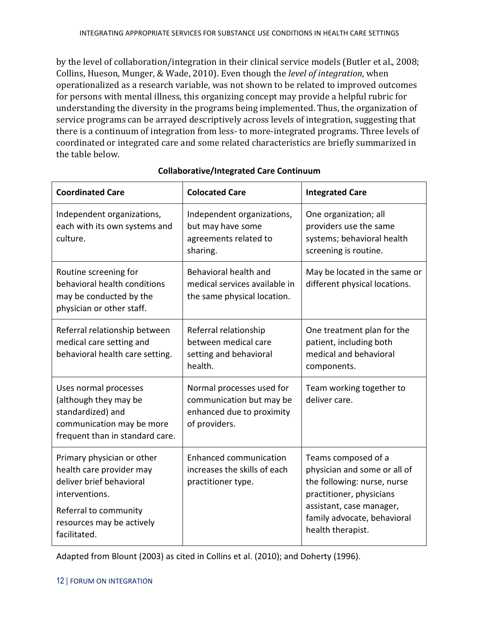by the level of collaboration/integration in their clinical service models (Butler et al., 2008; Collins, Hueson, Munger, & Wade, 2010). Even though the level of integration, when operationalized as a research variable, was not shown to be related to improved outcomes for persons with mental illness, this organizing concept may provide a helpful rubric for understanding the diversity in the programs being implemented. Thus, the organization of service programs can be arrayed descriptively across levels of integration, suggesting that there is a continuum of integration from less- to more-integrated programs. Three levels of coordinated or integrated care and some related characteristics are briefly summarized in the table below.

| <b>Coordinated Care</b>                                                                                                                                                    | <b>Colocated Care</b>                                                                               | <b>Integrated Care</b>                                                                                                                                                                         |
|----------------------------------------------------------------------------------------------------------------------------------------------------------------------------|-----------------------------------------------------------------------------------------------------|------------------------------------------------------------------------------------------------------------------------------------------------------------------------------------------------|
| Independent organizations,<br>each with its own systems and<br>culture.                                                                                                    | Independent organizations,<br>but may have some<br>agreements related to<br>sharing.                | One organization; all<br>providers use the same<br>systems; behavioral health<br>screening is routine.                                                                                         |
| Routine screening for<br>behavioral health conditions<br>may be conducted by the<br>physician or other staff.                                                              | Behavioral health and<br>medical services available in<br>the same physical location.               | May be located in the same or<br>different physical locations.                                                                                                                                 |
| Referral relationship between<br>medical care setting and<br>behavioral health care setting.                                                                               | Referral relationship<br>between medical care<br>setting and behavioral<br>health.                  | One treatment plan for the<br>patient, including both<br>medical and behavioral<br>components.                                                                                                 |
| Uses normal processes<br>(although they may be<br>standardized) and<br>communication may be more<br>frequent than in standard care.                                        | Normal processes used for<br>communication but may be<br>enhanced due to proximity<br>of providers. | Team working together to<br>deliver care.                                                                                                                                                      |
| Primary physician or other<br>health care provider may<br>deliver brief behavioral<br>interventions.<br>Referral to community<br>resources may be actively<br>facilitated. | <b>Enhanced communication</b><br>increases the skills of each<br>practitioner type.                 | Teams composed of a<br>physician and some or all of<br>the following: nurse, nurse<br>practitioner, physicians<br>assistant, case manager,<br>family advocate, behavioral<br>health therapist. |

# Collaborative/Integrated Care Continuum

Adapted from Blount (2003) as cited in Collins et al. (2010); and Doherty (1996).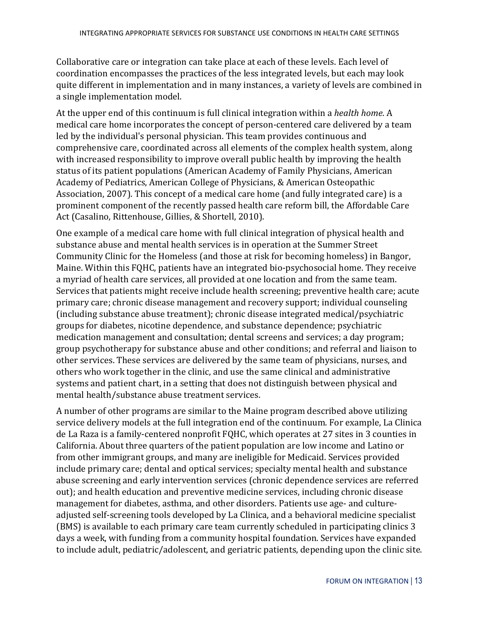Collaborative care or integration can take place at each of these levels. Each level of coordination encompasses the practices of the less integrated levels, but each may look quite different in implementation and in many instances, a variety of levels are combined in a single implementation model.

At the upper end of this continuum is full clinical integration within a health home. A medical care home incorporates the concept of person-centered care delivered by a team led by the individual's personal physician. This team provides continuous and comprehensive care, coordinated across all elements of the complex health system, along with increased responsibility to improve overall public health by improving the health status of its patient populations (American Academy of Family Physicians, American Academy of Pediatrics, American College of Physicians, & American Osteopathic Association, 2007). This concept of a medical care home (and fully integrated care) is a prominent component of the recently passed health care reform bill, the Affordable Care Act (Casalino, Rittenhouse, Gillies, & Shortell, 2010).

One example of a medical care home with full clinical integration of physical health and substance abuse and mental health services is in operation at the Summer Street Community Clinic for the Homeless (and those at risk for becoming homeless) in Bangor, Maine. Within this FQHC, patients have an integrated bio-psychosocial home. They receive a myriad of health care services, all provided at one location and from the same team. Services that patients might receive include health screening; preventive health care; acute primary care; chronic disease management and recovery support; individual counseling (including substance abuse treatment); chronic disease integrated medical/psychiatric groups for diabetes, nicotine dependence, and substance dependence; psychiatric medication management and consultation; dental screens and services; a day program; group psychotherapy for substance abuse and other conditions; and referral and liaison to other services. These services are delivered by the same team of physicians, nurses, and others who work together in the clinic, and use the same clinical and administrative systems and patient chart, in a setting that does not distinguish between physical and mental health/substance abuse treatment services.

A number of other programs are similar to the Maine program described above utilizing service delivery models at the full integration end of the continuum. For example, La Clinica de La Raza is a family-centered nonprofit FQHC, which operates at 27 sites in 3 counties in California. About three quarters of the patient population are low income and Latino or from other immigrant groups, and many are ineligible for Medicaid. Services provided include primary care; dental and optical services; specialty mental health and substance abuse screening and early intervention services (chronic dependence services are referred out); and health education and preventive medicine services, including chronic disease management for diabetes, asthma, and other disorders. Patients use age- and cultureadjusted self-screening tools developed by La Clinica, and a behavioral medicine specialist (BMS) is available to each primary care team currently scheduled in participating clinics 3 days a week, with funding from a community hospital foundation. Services have expanded to include adult, pediatric/adolescent, and geriatric patients, depending upon the clinic site.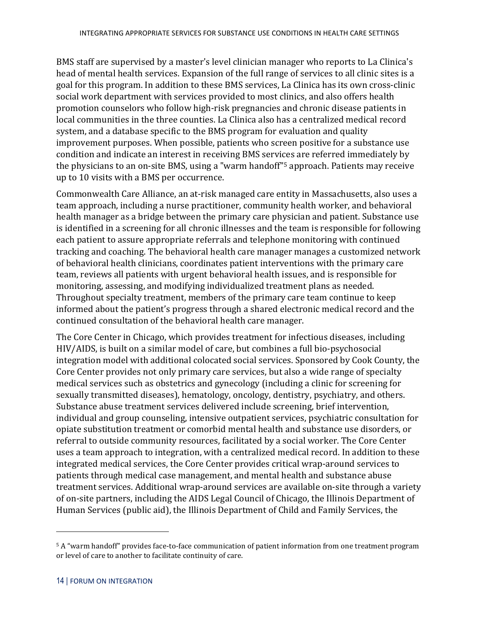BMS staff are supervised by a master's level clinician manager who reports to La Clinica's head of mental health services. Expansion of the full range of services to all clinic sites is a goal for this program. In addition to these BMS services, La Clinica has its own cross-clinic social work department with services provided to most clinics, and also offers health promotion counselors who follow high-risk pregnancies and chronic disease patients in local communities in the three counties. La Clinica also has a centralized medical record system, and a database specific to the BMS program for evaluation and quality improvement purposes. When possible, patients who screen positive for a substance use condition and indicate an interest in receiving BMS services are referred immediately by the physicians to an on-site BMS, using a "warm handoff"5 approach. Patients may receive up to 10 visits with a BMS per occurrence.

Commonwealth Care Alliance, an at-risk managed care entity in Massachusetts, also uses a team approach, including a nurse practitioner, community health worker, and behavioral health manager as a bridge between the primary care physician and patient. Substance use is identified in a screening for all chronic illnesses and the team is responsible for following each patient to assure appropriate referrals and telephone monitoring with continued tracking and coaching. The behavioral health care manager manages a customized network of behavioral health clinicians, coordinates patient interventions with the primary care team, reviews all patients with urgent behavioral health issues, and is responsible for monitoring, assessing, and modifying individualized treatment plans as needed. Throughout specialty treatment, members of the primary care team continue to keep informed about the patient's progress through a shared electronic medical record and the continued consultation of the behavioral health care manager.

The Core Center in Chicago, which provides treatment for infectious diseases, including HIV/AIDS, is built on a similar model of care, but combines a full bio-psychosocial integration model with additional colocated social services. Sponsored by Cook County, the Core Center provides not only primary care services, but also a wide range of specialty medical services such as obstetrics and gynecology (including a clinic for screening for sexually transmitted diseases), hematology, oncology, dentistry, psychiatry, and others. Substance abuse treatment services delivered include screening, brief intervention, individual and group counseling, intensive outpatient services, psychiatric consultation for opiate substitution treatment or comorbid mental health and substance use disorders, or referral to outside community resources, facilitated by a social worker. The Core Center uses a team approach to integration, with a centralized medical record. In addition to these integrated medical services, the Core Center provides critical wrap-around services to patients through medical case management, and mental health and substance abuse treatment services. Additional wrap-around services are available on-site through a variety of on-site partners, including the AIDS Legal Council of Chicago, the Illinois Department of Human Services (public aid), the Illinois Department of Child and Family Services, the

 $\overline{a}$ 

<sup>5</sup> A "warm handoff" provides face-to-face communication of patient information from one treatment program or level of care to another to facilitate continuity of care.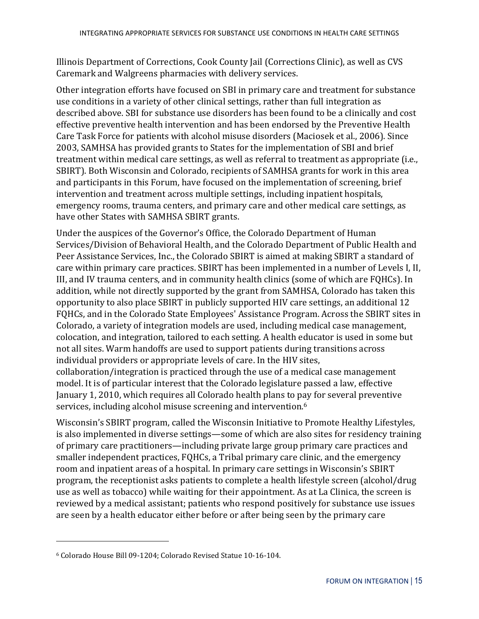Illinois Department of Corrections, Cook County Jail (Corrections Clinic), as well as CVS Caremark and Walgreens pharmacies with delivery services.

Other integration efforts have focused on SBI in primary care and treatment for substance use conditions in a variety of other clinical settings, rather than full integration as described above. SBI for substance use disorders has been found to be a clinically and cost effective preventive health intervention and has been endorsed by the Preventive Health Care Task Force for patients with alcohol misuse disorders (Maciosek et al., 2006). Since 2003, SAMHSA has provided grants to States for the implementation of SBI and brief treatment within medical care settings, as well as referral to treatment as appropriate (i.e., SBIRT). Both Wisconsin and Colorado, recipients of SAMHSA grants for work in this area and participants in this Forum, have focused on the implementation of screening, brief intervention and treatment across multiple settings, including inpatient hospitals, emergency rooms, trauma centers, and primary care and other medical care settings, as have other States with SAMHSA SBIRT grants.

Under the auspices of the Governor's Office, the Colorado Department of Human Services/Division of Behavioral Health, and the Colorado Department of Public Health and Peer Assistance Services, Inc., the Colorado SBIRT is aimed at making SBIRT a standard of care within primary care practices. SBIRT has been implemented in a number of Levels I, II, III, and IV trauma centers, and in community health clinics (some of which are FQHCs). In addition, while not directly supported by the grant from SAMHSA, Colorado has taken this opportunity to also place SBIRT in publicly supported HIV care settings, an additional 12 FQHCs, and in the Colorado State Employees' Assistance Program. Across the SBIRT sites in Colorado, a variety of integration models are used, including medical case management, colocation, and integration, tailored to each setting. A health educator is used in some but not all sites. Warm handoffs are used to support patients during transitions across individual providers or appropriate levels of care. In the HIV sites, collaboration/integration is practiced through the use of a medical case management model. It is of particular interest that the Colorado legislature passed a law, effective January 1, 2010, which requires all Colorado health plans to pay for several preventive services, including alcohol misuse screening and intervention.<sup>6</sup>

Wisconsin's SBIRT program, called the Wisconsin Initiative to Promote Healthy Lifestyles, is also implemented in diverse settings—some of which are also sites for residency training of primary care practitioners—including private large group primary care practices and smaller independent practices, FQHCs, a Tribal primary care clinic, and the emergency room and inpatient areas of a hospital. In primary care settings in Wisconsin's SBIRT program, the receptionist asks patients to complete a health lifestyle screen (alcohol/drug use as well as tobacco) while waiting for their appointment. As at La Clinica, the screen is reviewed by a medical assistant; patients who respond positively for substance use issues are seen by a health educator either before or after being seen by the primary care

 $\overline{a}$ 

<sup>6</sup> Colorado House Bill 09-1204; Colorado Revised Statue 10-16-104.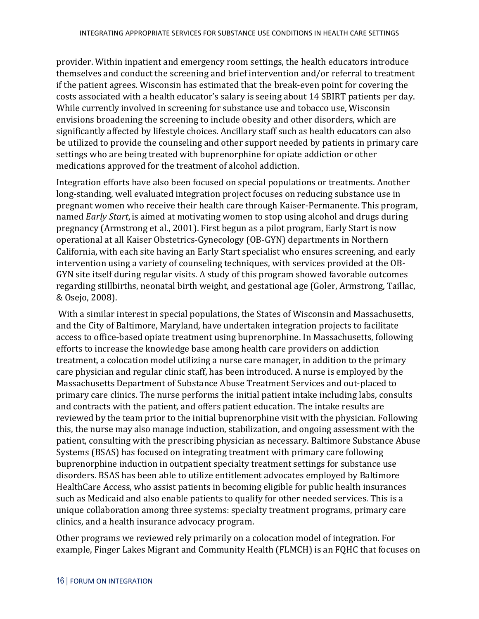provider. Within inpatient and emergency room settings, the health educators introduce themselves and conduct the screening and brief intervention and/or referral to treatment if the patient agrees. Wisconsin has estimated that the break-even point for covering the costs associated with a health educator's salary is seeing about 14 SBIRT patients per day. While currently involved in screening for substance use and tobacco use, Wisconsin envisions broadening the screening to include obesity and other disorders, which are significantly affected by lifestyle choices. Ancillary staff such as health educators can also be utilized to provide the counseling and other support needed by patients in primary care settings who are being treated with buprenorphine for opiate addiction or other medications approved for the treatment of alcohol addiction.

Integration efforts have also been focused on special populations or treatments. Another long-standing, well evaluated integration project focuses on reducing substance use in pregnant women who receive their health care through Kaiser-Permanente. This program, named Early Start, is aimed at motivating women to stop using alcohol and drugs during pregnancy (Armstrong et al., 2001). First begun as a pilot program, Early Start is now operational at all Kaiser Obstetrics-Gynecology (OB-GYN) departments in Northern California, with each site having an Early Start specialist who ensures screening, and early intervention using a variety of counseling techniques, with services provided at the OB-GYN site itself during regular visits. A study of this program showed favorable outcomes regarding stillbirths, neonatal birth weight, and gestational age (Goler, Armstrong, Taillac, & Osejo, 2008).

 With a similar interest in special populations, the States of Wisconsin and Massachusetts, and the City of Baltimore, Maryland, have undertaken integration projects to facilitate access to office-based opiate treatment using buprenorphine. In Massachusetts, following efforts to increase the knowledge base among health care providers on addiction treatment, a colocation model utilizing a nurse care manager, in addition to the primary care physician and regular clinic staff, has been introduced. A nurse is employed by the Massachusetts Department of Substance Abuse Treatment Services and out-placed to primary care clinics. The nurse performs the initial patient intake including labs, consults and contracts with the patient, and offers patient education. The intake results are reviewed by the team prior to the initial buprenorphine visit with the physician. Following this, the nurse may also manage induction, stabilization, and ongoing assessment with the patient, consulting with the prescribing physician as necessary. Baltimore Substance Abuse Systems (BSAS) has focused on integrating treatment with primary care following buprenorphine induction in outpatient specialty treatment settings for substance use disorders. BSAS has been able to utilize entitlement advocates employed by Baltimore HealthCare Access, who assist patients in becoming eligible for public health insurances such as Medicaid and also enable patients to qualify for other needed services. This is a unique collaboration among three systems: specialty treatment programs, primary care clinics, and a health insurance advocacy program.

Other programs we reviewed rely primarily on a colocation model of integration. For example, Finger Lakes Migrant and Community Health (FLMCH) is an FQHC that focuses on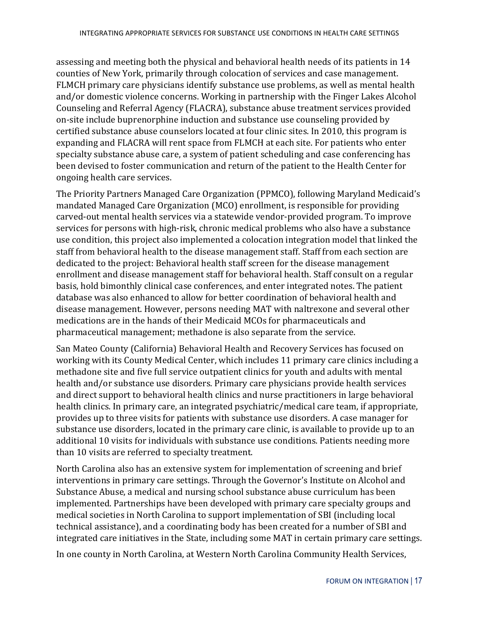assessing and meeting both the physical and behavioral health needs of its patients in 14 counties of New York, primarily through colocation of services and case management. FLMCH primary care physicians identify substance use problems, as well as mental health and/or domestic violence concerns. Working in partnership with the Finger Lakes Alcohol Counseling and Referral Agency (FLACRA), substance abuse treatment services provided on-site include buprenorphine induction and substance use counseling provided by certified substance abuse counselors located at four clinic sites. In 2010, this program is expanding and FLACRA will rent space from FLMCH at each site. For patients who enter specialty substance abuse care, a system of patient scheduling and case conferencing has been devised to foster communication and return of the patient to the Health Center for ongoing health care services.

The Priority Partners Managed Care Organization (PPMCO), following Maryland Medicaid's mandated Managed Care Organization (MCO) enrollment, is responsible for providing carved-out mental health services via a statewide vendor-provided program. To improve services for persons with high-risk, chronic medical problems who also have a substance use condition, this project also implemented a colocation integration model that linked the staff from behavioral health to the disease management staff. Staff from each section are dedicated to the project: Behavioral health staff screen for the disease management enrollment and disease management staff for behavioral health. Staff consult on a regular basis, hold bimonthly clinical case conferences, and enter integrated notes. The patient database was also enhanced to allow for better coordination of behavioral health and disease management. However, persons needing MAT with naltrexone and several other medications are in the hands of their Medicaid MCOs for pharmaceuticals and pharmaceutical management; methadone is also separate from the service.

San Mateo County (California) Behavioral Health and Recovery Services has focused on working with its County Medical Center, which includes 11 primary care clinics including a methadone site and five full service outpatient clinics for youth and adults with mental health and/or substance use disorders. Primary care physicians provide health services and direct support to behavioral health clinics and nurse practitioners in large behavioral health clinics. In primary care, an integrated psychiatric/medical care team, if appropriate, provides up to three visits for patients with substance use disorders. A case manager for substance use disorders, located in the primary care clinic, is available to provide up to an additional 10 visits for individuals with substance use conditions. Patients needing more than 10 visits are referred to specialty treatment.

North Carolina also has an extensive system for implementation of screening and brief interventions in primary care settings. Through the Governor's Institute on Alcohol and Substance Abuse, a medical and nursing school substance abuse curriculum has been implemented. Partnerships have been developed with primary care specialty groups and medical societies in North Carolina to support implementation of SBI (including local technical assistance), and a coordinating body has been created for a number of SBI and integrated care initiatives in the State, including some MAT in certain primary care settings.

In one county in North Carolina, at Western North Carolina Community Health Services,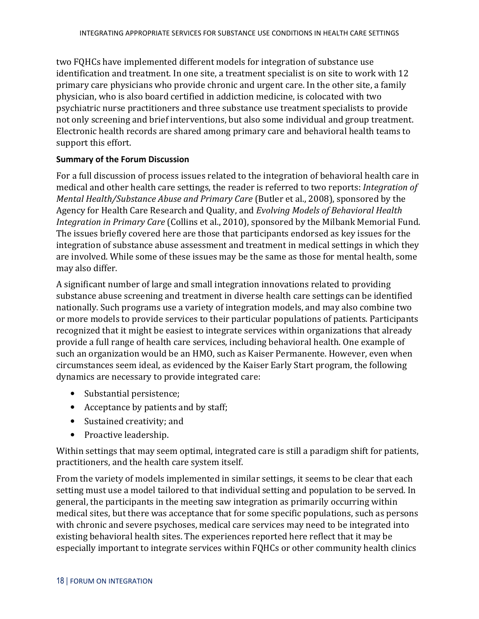two FQHCs have implemented different models for integration of substance use identification and treatment. In one site, a treatment specialist is on site to work with 12 primary care physicians who provide chronic and urgent care. In the other site, a family physician, who is also board certified in addiction medicine, is colocated with two psychiatric nurse practitioners and three substance use treatment specialists to provide not only screening and brief interventions, but also some individual and group treatment. Electronic health records are shared among primary care and behavioral health teams to support this effort.

# Summary of the Forum Discussion

For a full discussion of process issues related to the integration of behavioral health care in medical and other health care settings, the reader is referred to two reports: Integration of Mental Health/Substance Abuse and Primary Care (Butler et al., 2008), sponsored by the Agency for Health Care Research and Quality, and Evolving Models of Behavioral Health Integration in Primary Care (Collins et al., 2010), sponsored by the Milbank Memorial Fund. The issues briefly covered here are those that participants endorsed as key issues for the integration of substance abuse assessment and treatment in medical settings in which they are involved. While some of these issues may be the same as those for mental health, some may also differ.

A significant number of large and small integration innovations related to providing substance abuse screening and treatment in diverse health care settings can be identified nationally. Such programs use a variety of integration models, and may also combine two or more models to provide services to their particular populations of patients. Participants recognized that it might be easiest to integrate services within organizations that already provide a full range of health care services, including behavioral health. One example of such an organization would be an HMO, such as Kaiser Permanente. However, even when circumstances seem ideal, as evidenced by the Kaiser Early Start program, the following dynamics are necessary to provide integrated care:

- Substantial persistence;
- Acceptance by patients and by staff;
- Sustained creativity; and
- Proactive leadership.

Within settings that may seem optimal, integrated care is still a paradigm shift for patients, practitioners, and the health care system itself.

From the variety of models implemented in similar settings, it seems to be clear that each setting must use a model tailored to that individual setting and population to be served. In general, the participants in the meeting saw integration as primarily occurring within medical sites, but there was acceptance that for some specific populations, such as persons with chronic and severe psychoses, medical care services may need to be integrated into existing behavioral health sites. The experiences reported here reflect that it may be especially important to integrate services within FQHCs or other community health clinics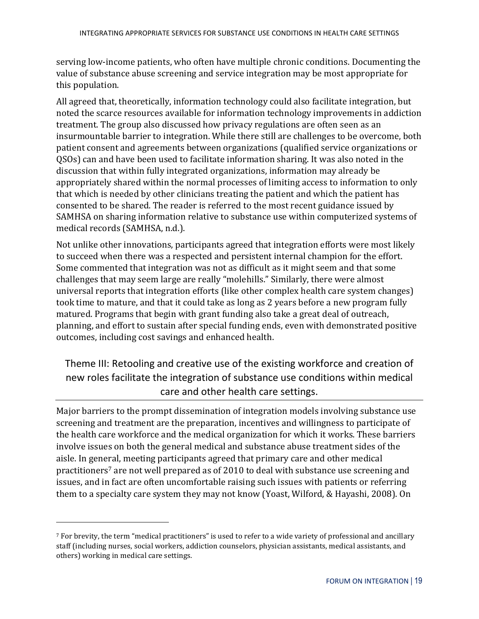serving low-income patients, who often have multiple chronic conditions. Documenting the value of substance abuse screening and service integration may be most appropriate for this population.

All agreed that, theoretically, information technology could also facilitate integration, but noted the scarce resources available for information technology improvements in addiction treatment. The group also discussed how privacy regulations are often seen as an insurmountable barrier to integration. While there still are challenges to be overcome, both patient consent and agreements between organizations (qualified service organizations or QSOs) can and have been used to facilitate information sharing. It was also noted in the discussion that within fully integrated organizations, information may already be appropriately shared within the normal processes of limiting access to information to only that which is needed by other clinicians treating the patient and which the patient has consented to be shared. The reader is referred to the most recent guidance issued by SAMHSA on sharing information relative to substance use within computerized systems of medical records (SAMHSA, n.d.).

Not unlike other innovations, participants agreed that integration efforts were most likely to succeed when there was a respected and persistent internal champion for the effort. Some commented that integration was not as difficult as it might seem and that some challenges that may seem large are really "molehills." Similarly, there were almost universal reports that integration efforts (like other complex health care system changes) took time to mature, and that it could take as long as 2 years before a new program fully matured. Programs that begin with grant funding also take a great deal of outreach, planning, and effort to sustain after special funding ends, even with demonstrated positive outcomes, including cost savings and enhanced health.

Theme III: Retooling and creative use of the existing workforce and creation of new roles facilitate the integration of substance use conditions within medical care and other health care settings.

Major barriers to the prompt dissemination of integration models involving substance use screening and treatment are the preparation, incentives and willingness to participate of the health care workforce and the medical organization for which it works. These barriers involve issues on both the general medical and substance abuse treatment sides of the aisle. In general, meeting participants agreed that primary care and other medical practitioners<sup>7</sup> are not well prepared as of 2010 to deal with substance use screening and issues, and in fact are often uncomfortable raising such issues with patients or referring them to a specialty care system they may not know (Yoast, Wilford, & Hayashi, 2008). On

 $\overline{a}$ 

<sup>7</sup> For brevity, the term "medical practitioners" is used to refer to a wide variety of professional and ancillary staff (including nurses, social workers, addiction counselors, physician assistants, medical assistants, and others) working in medical care settings.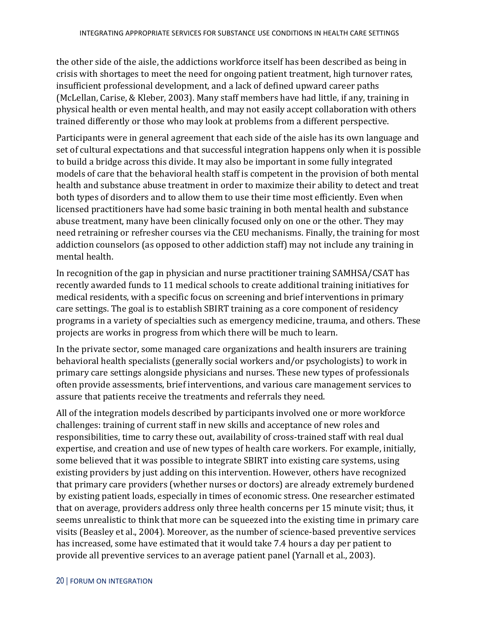the other side of the aisle, the addictions workforce itself has been described as being in crisis with shortages to meet the need for ongoing patient treatment, high turnover rates, insufficient professional development, and a lack of defined upward career paths (McLellan, Carise, & Kleber, 2003). Many staff members have had little, if any, training in physical health or even mental health, and may not easily accept collaboration with others trained differently or those who may look at problems from a different perspective.

Participants were in general agreement that each side of the aisle has its own language and set of cultural expectations and that successful integration happens only when it is possible to build a bridge across this divide. It may also be important in some fully integrated models of care that the behavioral health staff is competent in the provision of both mental health and substance abuse treatment in order to maximize their ability to detect and treat both types of disorders and to allow them to use their time most efficiently. Even when licensed practitioners have had some basic training in both mental health and substance abuse treatment, many have been clinically focused only on one or the other. They may need retraining or refresher courses via the CEU mechanisms. Finally, the training for most addiction counselors (as opposed to other addiction staff) may not include any training in mental health.

In recognition of the gap in physician and nurse practitioner training SAMHSA/CSAT has recently awarded funds to 11 medical schools to create additional training initiatives for medical residents, with a specific focus on screening and brief interventions in primary care settings. The goal is to establish SBIRT training as a core component of residency programs in a variety of specialties such as emergency medicine, trauma, and others. These projects are works in progress from which there will be much to learn.

In the private sector, some managed care organizations and health insurers are training behavioral health specialists (generally social workers and/or psychologists) to work in primary care settings alongside physicians and nurses. These new types of professionals often provide assessments, brief interventions, and various care management services to assure that patients receive the treatments and referrals they need.

All of the integration models described by participants involved one or more workforce challenges: training of current staff in new skills and acceptance of new roles and responsibilities, time to carry these out, availability of cross-trained staff with real dual expertise, and creation and use of new types of health care workers. For example, initially, some believed that it was possible to integrate SBIRT into existing care systems, using existing providers by just adding on this intervention. However, others have recognized that primary care providers (whether nurses or doctors) are already extremely burdened by existing patient loads, especially in times of economic stress. One researcher estimated that on average, providers address only three health concerns per 15 minute visit; thus, it seems unrealistic to think that more can be squeezed into the existing time in primary care visits (Beasley et al., 2004). Moreover, as the number of science-based preventive services has increased, some have estimated that it would take 7.4 hours a day per patient to provide all preventive services to an average patient panel (Yarnall et al., 2003).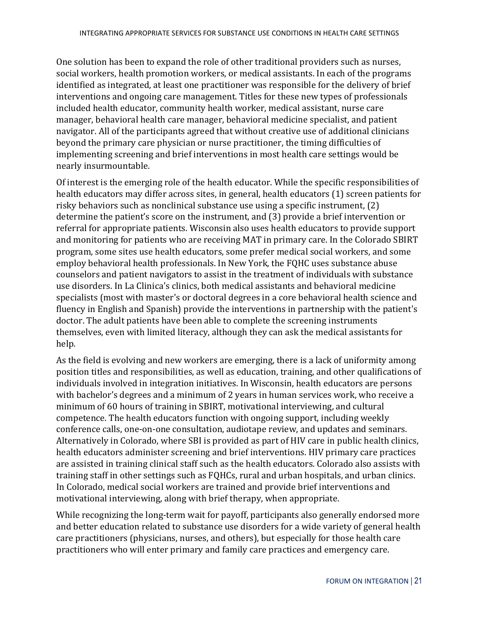One solution has been to expand the role of other traditional providers such as nurses, social workers, health promotion workers, or medical assistants. In each of the programs identified as integrated, at least one practitioner was responsible for the delivery of brief interventions and ongoing care management. Titles for these new types of professionals included health educator, community health worker, medical assistant, nurse care manager, behavioral health care manager, behavioral medicine specialist, and patient navigator. All of the participants agreed that without creative use of additional clinicians beyond the primary care physician or nurse practitioner, the timing difficulties of implementing screening and brief interventions in most health care settings would be nearly insurmountable.

Of interest is the emerging role of the health educator. While the specific responsibilities of health educators may differ across sites, in general, health educators (1) screen patients for risky behaviors such as nonclinical substance use using a specific instrument, (2) determine the patient's score on the instrument, and (3) provide a brief intervention or referral for appropriate patients. Wisconsin also uses health educators to provide support and monitoring for patients who are receiving MAT in primary care. In the Colorado SBIRT program, some sites use health educators, some prefer medical social workers, and some employ behavioral health professionals. In New York, the FQHC uses substance abuse counselors and patient navigators to assist in the treatment of individuals with substance use disorders. In La Clinica's clinics, both medical assistants and behavioral medicine specialists (most with master's or doctoral degrees in a core behavioral health science and fluency in English and Spanish) provide the interventions in partnership with the patient's doctor. The adult patients have been able to complete the screening instruments themselves, even with limited literacy, although they can ask the medical assistants for help.

As the field is evolving and new workers are emerging, there is a lack of uniformity among position titles and responsibilities, as well as education, training, and other qualifications of individuals involved in integration initiatives. In Wisconsin, health educators are persons with bachelor's degrees and a minimum of 2 years in human services work, who receive a minimum of 60 hours of training in SBIRT, motivational interviewing, and cultural competence. The health educators function with ongoing support, including weekly conference calls, one-on-one consultation, audiotape review, and updates and seminars. Alternatively in Colorado, where SBI is provided as part of HIV care in public health clinics, health educators administer screening and brief interventions. HIV primary care practices are assisted in training clinical staff such as the health educators. Colorado also assists with training staff in other settings such as FQHCs, rural and urban hospitals, and urban clinics. In Colorado, medical social workers are trained and provide brief interventions and motivational interviewing, along with brief therapy, when appropriate.

While recognizing the long-term wait for payoff, participants also generally endorsed more and better education related to substance use disorders for a wide variety of general health care practitioners (physicians, nurses, and others), but especially for those health care practitioners who will enter primary and family care practices and emergency care.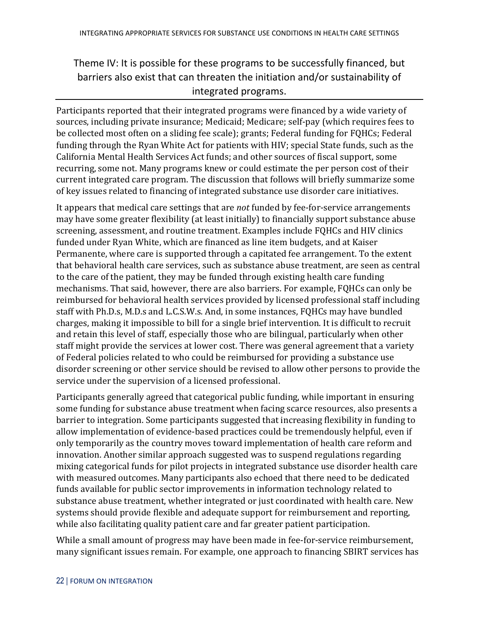# Theme IV: It is possible for these programs to be successfully financed, but barriers also exist that can threaten the initiation and/or sustainability of integrated programs.

Participants reported that their integrated programs were financed by a wide variety of sources, including private insurance; Medicaid; Medicare; self-pay (which requires fees to be collected most often on a sliding fee scale); grants; Federal funding for FQHCs; Federal funding through the Ryan White Act for patients with HIV; special State funds, such as the California Mental Health Services Act funds; and other sources of fiscal support, some recurring, some not. Many programs knew or could estimate the per person cost of their current integrated care program. The discussion that follows will briefly summarize some of key issues related to financing of integrated substance use disorder care initiatives.

It appears that medical care settings that are not funded by fee-for-service arrangements may have some greater flexibility (at least initially) to financially support substance abuse screening, assessment, and routine treatment. Examples include FQHCs and HIV clinics funded under Ryan White, which are financed as line item budgets, and at Kaiser Permanente, where care is supported through a capitated fee arrangement. To the extent that behavioral health care services, such as substance abuse treatment, are seen as central to the care of the patient, they may be funded through existing health care funding mechanisms. That said, however, there are also barriers. For example, FQHCs can only be reimbursed for behavioral health services provided by licensed professional staff including staff with Ph.D.s, M.D.s and L.C.S.W.s. And, in some instances, FQHCs may have bundled charges, making it impossible to bill for a single brief intervention. It is difficult to recruit and retain this level of staff, especially those who are bilingual, particularly when other staff might provide the services at lower cost. There was general agreement that a variety of Federal policies related to who could be reimbursed for providing a substance use disorder screening or other service should be revised to allow other persons to provide the service under the supervision of a licensed professional.

Participants generally agreed that categorical public funding, while important in ensuring some funding for substance abuse treatment when facing scarce resources, also presents a barrier to integration. Some participants suggested that increasing flexibility in funding to allow implementation of evidence-based practices could be tremendously helpful, even if only temporarily as the country moves toward implementation of health care reform and innovation. Another similar approach suggested was to suspend regulations regarding mixing categorical funds for pilot projects in integrated substance use disorder health care with measured outcomes. Many participants also echoed that there need to be dedicated funds available for public sector improvements in information technology related to substance abuse treatment, whether integrated or just coordinated with health care. New systems should provide flexible and adequate support for reimbursement and reporting, while also facilitating quality patient care and far greater patient participation.

While a small amount of progress may have been made in fee-for-service reimbursement, many significant issues remain. For example, one approach to financing SBIRT services has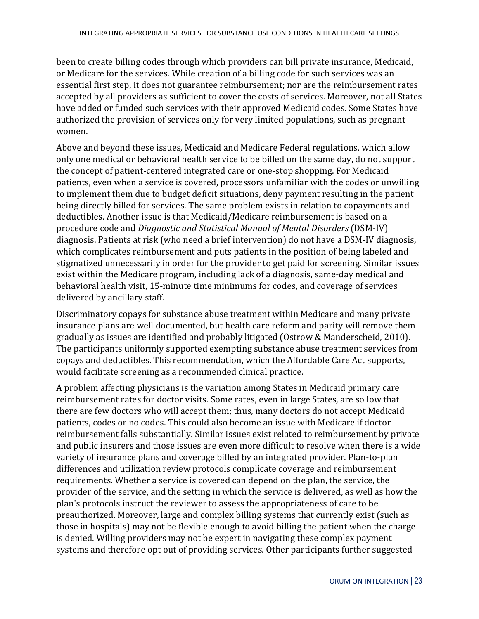been to create billing codes through which providers can bill private insurance, Medicaid, or Medicare for the services. While creation of a billing code for such services was an essential first step, it does not guarantee reimbursement; nor are the reimbursement rates accepted by all providers as sufficient to cover the costs of services. Moreover, not all States have added or funded such services with their approved Medicaid codes. Some States have authorized the provision of services only for very limited populations, such as pregnant women.

Above and beyond these issues, Medicaid and Medicare Federal regulations, which allow only one medical or behavioral health service to be billed on the same day, do not support the concept of patient-centered integrated care or one-stop shopping. For Medicaid patients, even when a service is covered, processors unfamiliar with the codes or unwilling to implement them due to budget deficit situations, deny payment resulting in the patient being directly billed for services. The same problem exists in relation to copayments and deductibles. Another issue is that Medicaid/Medicare reimbursement is based on a procedure code and Diagnostic and Statistical Manual of Mental Disorders (DSM-IV) diagnosis. Patients at risk (who need a brief intervention) do not have a DSM-IV diagnosis, which complicates reimbursement and puts patients in the position of being labeled and stigmatized unnecessarily in order for the provider to get paid for screening. Similar issues exist within the Medicare program, including lack of a diagnosis, same-day medical and behavioral health visit, 15-minute time minimums for codes, and coverage of services delivered by ancillary staff.

Discriminatory copays for substance abuse treatment within Medicare and many private insurance plans are well documented, but health care reform and parity will remove them gradually as issues are identified and probably litigated (Ostrow & Manderscheid, 2010). The participants uniformly supported exempting substance abuse treatment services from copays and deductibles. This recommendation, which the Affordable Care Act supports, would facilitate screening as a recommended clinical practice.

A problem affecting physicians is the variation among States in Medicaid primary care reimbursement rates for doctor visits. Some rates, even in large States, are so low that there are few doctors who will accept them; thus, many doctors do not accept Medicaid patients, codes or no codes. This could also become an issue with Medicare if doctor reimbursement falls substantially. Similar issues exist related to reimbursement by private and public insurers and those issues are even more difficult to resolve when there is a wide variety of insurance plans and coverage billed by an integrated provider. Plan-to-plan differences and utilization review protocols complicate coverage and reimbursement requirements. Whether a service is covered can depend on the plan, the service, the provider of the service, and the setting in which the service is delivered, as well as how the plan's protocols instruct the reviewer to assess the appropriateness of care to be preauthorized. Moreover, large and complex billing systems that currently exist (such as those in hospitals) may not be flexible enough to avoid billing the patient when the charge is denied. Willing providers may not be expert in navigating these complex payment systems and therefore opt out of providing services. Other participants further suggested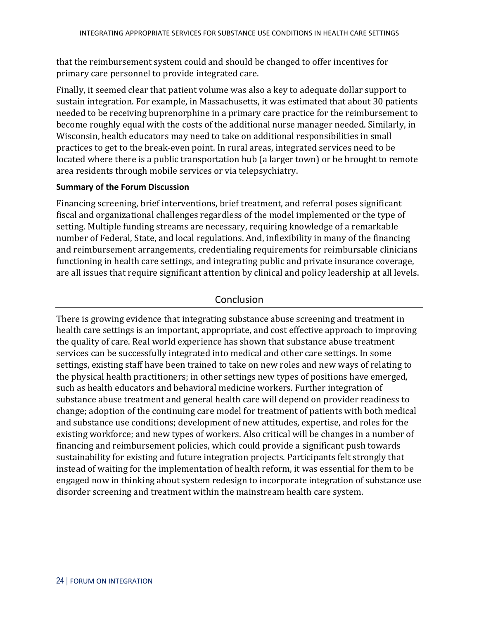that the reimbursement system could and should be changed to offer incentives for primary care personnel to provide integrated care.

Finally, it seemed clear that patient volume was also a key to adequate dollar support to sustain integration. For example, in Massachusetts, it was estimated that about 30 patients needed to be receiving buprenorphine in a primary care practice for the reimbursement to become roughly equal with the costs of the additional nurse manager needed. Similarly, in Wisconsin, health educators may need to take on additional responsibilities in small practices to get to the break-even point. In rural areas, integrated services need to be located where there is a public transportation hub (a larger town) or be brought to remote area residents through mobile services or via telepsychiatry.

# Summary of the Forum Discussion

Financing screening, brief interventions, brief treatment, and referral poses significant fiscal and organizational challenges regardless of the model implemented or the type of setting. Multiple funding streams are necessary, requiring knowledge of a remarkable number of Federal, State, and local regulations. And, inflexibility in many of the financing and reimbursement arrangements, credentialing requirements for reimbursable clinicians functioning in health care settings, and integrating public and private insurance coverage, are all issues that require significant attention by clinical and policy leadership at all levels.

# Conclusion

There is growing evidence that integrating substance abuse screening and treatment in health care settings is an important, appropriate, and cost effective approach to improving the quality of care. Real world experience has shown that substance abuse treatment services can be successfully integrated into medical and other care settings. In some settings, existing staff have been trained to take on new roles and new ways of relating to the physical health practitioners; in other settings new types of positions have emerged, such as health educators and behavioral medicine workers. Further integration of substance abuse treatment and general health care will depend on provider readiness to change; adoption of the continuing care model for treatment of patients with both medical and substance use conditions; development of new attitudes, expertise, and roles for the existing workforce; and new types of workers. Also critical will be changes in a number of financing and reimbursement policies, which could provide a significant push towards sustainability for existing and future integration projects. Participants felt strongly that instead of waiting for the implementation of health reform, it was essential for them to be engaged now in thinking about system redesign to incorporate integration of substance use disorder screening and treatment within the mainstream health care system.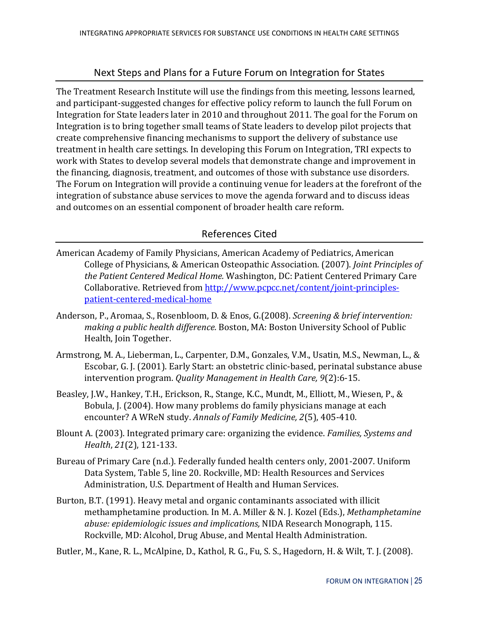# Next Steps and Plans for a Future Forum on Integration for States

The Treatment Research Institute will use the findings from this meeting, lessons learned, and participant-suggested changes for effective policy reform to launch the full Forum on Integration for State leaders later in 2010 and throughout 2011. The goal for the Forum on Integration is to bring together small teams of State leaders to develop pilot projects that create comprehensive financing mechanisms to support the delivery of substance use treatment in health care settings. In developing this Forum on Integration, TRI expects to work with States to develop several models that demonstrate change and improvement in the financing, diagnosis, treatment, and outcomes of those with substance use disorders. The Forum on Integration will provide a continuing venue for leaders at the forefront of the integration of substance abuse services to move the agenda forward and to discuss ideas and outcomes on an essential component of broader health care reform.

# References Cited

- American Academy of Family Physicians, American Academy of Pediatrics, American College of Physicians, & American Osteopathic Association. (2007). Joint Principles of the Patient Centered Medical Home. Washington, DC: Patient Centered Primary Care Collaborative. Retrieved from http://www.pcpcc.net/content/joint-principlespatient-centered-medical-home
- Anderson, P., Aromaa, S., Rosenbloom, D. & Enos, G.(2008). Screening & brief intervention: making a public health difference. Boston, MA: Boston University School of Public Health, Join Together.
- Armstrong, M. A., Lieberman, L., Carpenter, D.M., Gonzales, V.M., Usatin, M.S., Newman, L., & Escobar, G. J. (2001). Early Start: an obstetric clinic-based, perinatal substance abuse intervention program. Quality Management in Health Care, 9(2):6-15.
- Beasley, J.W., Hankey, T.H., Erickson, R., Stange, K.C., Mundt, M., Elliott, M., Wiesen, P., & Bobula, J. (2004). How many problems do family physicians manage at each encounter? A WReN study. Annals of Family Medicine, 2(5), 405-410.
- Blount A. (2003). Integrated primary care: organizing the evidence. Families, Systems and Health, 21(2), 121-133.
- Bureau of Primary Care (n.d.). Federally funded health centers only, 2001-2007. Uniform Data System, Table 5, line 20. Rockville, MD: Health Resources and Services Administration, U.S. Department of Health and Human Services.
- Burton, B.T. (1991). Heavy metal and organic contaminants associated with illicit methamphetamine production. In M. A. Miller & N. J. Kozel (Eds.), Methamphetamine abuse: epidemiologic issues and implications, NIDA Research Monograph, 115. Rockville, MD: Alcohol, Drug Abuse, and Mental Health Administration.

Butler, M., Kane, R. L., McAlpine, D., Kathol, R. G., Fu, S. S., Hagedorn, H. & Wilt, T. J. (2008).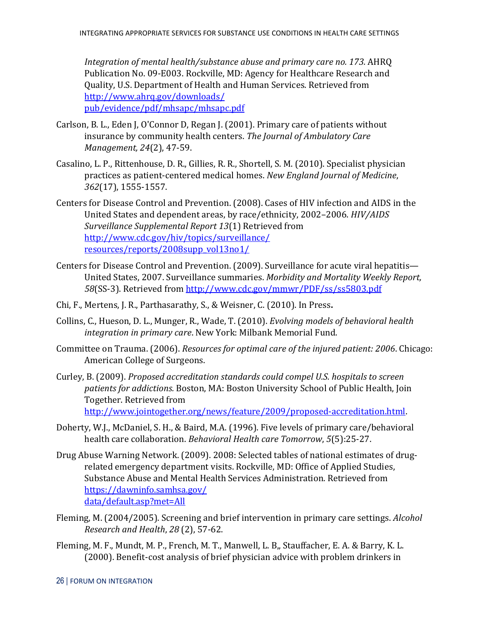Integration of mental health/substance abuse and primary care no. 173. AHRQ Publication No. 09-E003. Rockville, MD: Agency for Healthcare Research and Quality, U.S. Department of Health and Human Services. Retrieved from http://www.ahrq.gov/downloads/ pub/evidence/pdf/mhsapc/mhsapc.pdf

- Carlson, B. L., Eden J, O'Connor D, Regan J. (2001). Primary care of patients without insurance by community health centers. The Journal of Ambulatory Care Management, 24(2), 47-59.
- Casalino, L. P., Rittenhouse, D. R., Gillies, R. R., Shortell, S. M. (2010). Specialist physician practices as patient-centered medical homes. New England Journal of Medicine, 362(17), 1555-1557.
- Centers for Disease Control and Prevention. (2008). Cases of HIV infection and AIDS in the United States and dependent areas, by race/ethnicity, 2002–2006. HIV/AIDS Surveillance Supplemental Report 13(1) Retrieved from http://www.cdc.gov/hiv/topics/surveillance/ resources/reports/2008supp\_vol13no1/
- Centers for Disease Control and Prevention. (2009). Surveillance for acute viral hepatitis— United States, 2007. Surveillance summaries. Morbidity and Mortality Weekly Report, 58(SS-3). Retrieved from http://www.cdc.gov/mmwr/PDF/ss/ss5803.pdf
- Chi, F., Mertens, J. R., Parthasarathy, S., & Weisner, C. (2010). In Press.
- Collins, C., Hueson, D. L., Munger, R., Wade, T. (2010). Evolving models of behavioral health integration in primary care. New York: Milbank Memorial Fund.
- Committee on Trauma. (2006). Resources for optimal care of the injured patient: 2006. Chicago: American College of Surgeons.
- Curley, B. (2009). Proposed accreditation standards could compel U.S. hospitals to screen patients for addictions. Boston, MA: Boston University School of Public Health, Join Together. Retrieved from http://www.jointogether.org/news/feature/2009/proposed-accreditation.html.
- Doherty, W.J., McDaniel, S. H., & Baird, M.A. (1996). Five levels of primary care/behavioral health care collaboration. Behavioral Health care Tomorrow, 5(5):25-27.
- Drug Abuse Warning Network. (2009). 2008: Selected tables of national estimates of drugrelated emergency department visits. Rockville, MD: Office of Applied Studies, Substance Abuse and Mental Health Services Administration. Retrieved from https://dawninfo.samhsa.gov/ data/default.asp?met=All
- Fleming, M. (2004/2005). Screening and brief intervention in primary care settings. Alcohol Research and Health, 28 (2), 57-62.
- Fleming, M. F., Mundt, M. P., French, M. T., Manwell, L. B,, Stauffacher, E. A. & Barry, K. L. (2000). Benefit-cost analysis of brief physician advice with problem drinkers in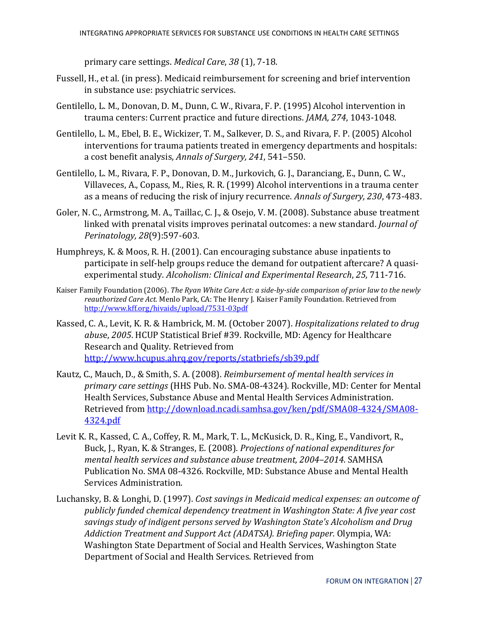primary care settings. Medical Care, 38 (1), 7-18.

- Fussell, H., et al. (in press). Medicaid reimbursement for screening and brief intervention in substance use: psychiatric services.
- Gentilello, L. M., Donovan, D. M., Dunn, C. W., Rivara, F. P. (1995) Alcohol intervention in trauma centers: Current practice and future directions. JAMA, 274, 1043-1048.
- Gentilello, L. M., Ebel, B. E., Wickizer, T. M., Salkever, D. S., and Rivara, F. P. (2005) Alcohol interventions for trauma patients treated in emergency departments and hospitals: a cost benefit analysis, Annals of Surgery, 241, 541–550.
- Gentilello, L. M., Rivara, F. P., Donovan, D. M., Jurkovich, G. J., Daranciang, E., Dunn, C. W., Villaveces, A., Copass, M., Ries, R. R. (1999) Alcohol interventions in a trauma center as a means of reducing the risk of injury recurrence. Annals of Surgery, 230, 473-483.
- Goler, N. C., Armstrong, M. A., Taillac, C. J., & Osejo, V. M. (2008). Substance abuse treatment linked with prenatal visits improves perinatal outcomes: a new standard. Journal of Perinatology, 28(9):597-603.
- Humphreys, K. & Moos, R. H. (2001). Can encouraging substance abuse inpatients to participate in self-help groups reduce the demand for outpatient aftercare? A quasiexperimental study. Alcoholism: Clinical and Experimental Research, 25, 711-716.
- Kaiser Family Foundation (2006). The Ryan White Care Act: a side-by-side comparison of prior law to the newly reauthorized Care Act. Menlo Park, CA: The Henry J. Kaiser Family Foundation. Retrieved from http://www.kff.org/hivaids/upload/7531-03pdf
- Kassed, C. A., Levit, K. R. & Hambrick, M. M. (October 2007). Hospitalizations related to drug abuse, 2005. HCUP Statistical Brief #39. Rockville, MD: Agency for Healthcare Research and Quality. Retrieved from http://www.hcupus.ahrq.gov/reports/statbriefs/sb39.pdf
- Kautz, C., Mauch, D., & Smith, S. A. (2008). Reimbursement of mental health services in primary care settings (HHS Pub. No. SMA-08-4324). Rockville, MD: Center for Mental Health Services, Substance Abuse and Mental Health Services Administration. Retrieved from http://download.ncadi.samhsa.gov/ken/pdf/SMA08-4324/SMA08- 4324.pdf
- Levit K. R., Kassed, C. A., Coffey, R. M., Mark, T. L., McKusick, D. R., King, E., Vandivort, R., Buck, J., Ryan, K. & Stranges, E. (2008). Projections of national expenditures for mental health services and substance abuse treatment, 2004–2014. SAMHSA Publication No. SMA 08-4326. Rockville, MD: Substance Abuse and Mental Health Services Administration.
- Luchansky, B. & Longhi, D. (1997). Cost savings in Medicaid medical expenses: an outcome of publicly funded chemical dependency treatment in Washington State: A five year cost savings study of indigent persons served by Washington State's Alcoholism and Drug Addiction Treatment and Support Act (ADATSA). Briefing paper. Olympia, WA: Washington State Department of Social and Health Services, Washington State Department of Social and Health Services. Retrieved from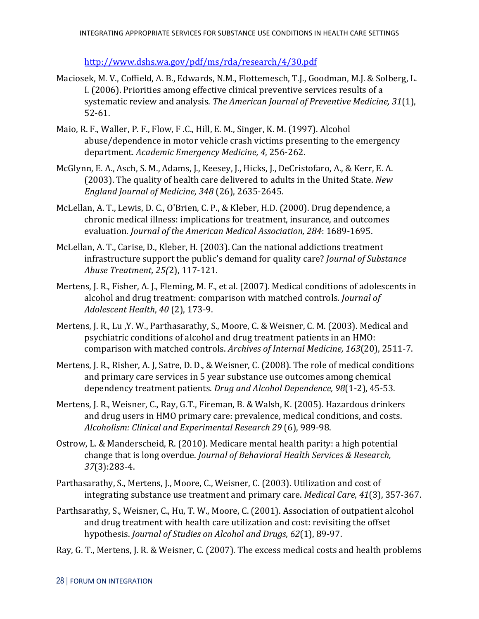http://www.dshs.wa.gov/pdf/ms/rda/research/4/30.pdf

- Maciosek, M. V., Coffield, A. B., Edwards, N.M., Flottemesch, T.J., Goodman, M.J. & Solberg, L. I. (2006). Priorities among effective clinical preventive services results of a systematic review and analysis. The American Journal of Preventive Medicine, 31(1), 52-61.
- Maio, R. F., Waller, P. F., Flow, F .C., Hill, E. M., Singer, K. M. (1997). Alcohol abuse/dependence in motor vehicle crash victims presenting to the emergency department. Academic Emergency Medicine, 4, 256-262.
- McGlynn, E. A., Asch, S. M., Adams, J., Keesey, J., Hicks, J., DeCristofaro, A., & Kerr, E. A. (2003). The quality of health care delivered to adults in the United State. New England Journal of Medicine, 348 (26), 2635-2645.
- McLellan, A. T., Lewis, D. C., O'Brien, C. P., & Kleber, H.D. (2000). Drug dependence, a chronic medical illness: implications for treatment, insurance, and outcomes evaluation. Journal of the American Medical Association, 284: 1689-1695.
- McLellan, A. T., Carise, D., Kleber, H. (2003). Can the national addictions treatment infrastructure support the public's demand for quality care? Journal of Substance Abuse Treatment, 25(2), 117-121.
- Mertens, J. R., Fisher, A. J., Fleming, M. F., et al. (2007). Medical conditions of adolescents in alcohol and drug treatment: comparison with matched controls. Journal of Adolescent Health, 40 (2), 173-9.
- Mertens, J. R., Lu ,Y. W., Parthasarathy, S., Moore, C. & Weisner, C. M. (2003). Medical and psychiatric conditions of alcohol and drug treatment patients in an HMO: comparison with matched controls. Archives of Internal Medicine, 163(20), 2511-7.
- Mertens, J. R., Risher, A. J, Satre, D. D., & Weisner, C. (2008). The role of medical conditions and primary care services in 5 year substance use outcomes among chemical dependency treatment patients. Drug and Alcohol Dependence, 98(1-2), 45-53.
- Mertens, J. R., Weisner, C., Ray, G.T., Fireman, B. & Walsh, K. (2005). Hazardous drinkers and drug users in HMO primary care: prevalence, medical conditions, and costs. Alcoholism: Clinical and Experimental Research 29 (6), 989-98.
- Ostrow, L. & Manderscheid, R. (2010). Medicare mental health parity: a high potential change that is long overdue. Journal of Behavioral Health Services & Research, 37(3):283-4.
- Parthasarathy, S., Mertens, J., Moore, C., Weisner, C. (2003). Utilization and cost of integrating substance use treatment and primary care. Medical Care, 41(3), 357-367.
- Parthsarathy, S., Weisner, C., Hu, T. W., Moore, C. (2001). Association of outpatient alcohol and drug treatment with health care utilization and cost: revisiting the offset hypothesis. Journal of Studies on Alcohol and Drugs, 62(1), 89-97.

Ray, G. T., Mertens, J. R. & Weisner, C. (2007). The excess medical costs and health problems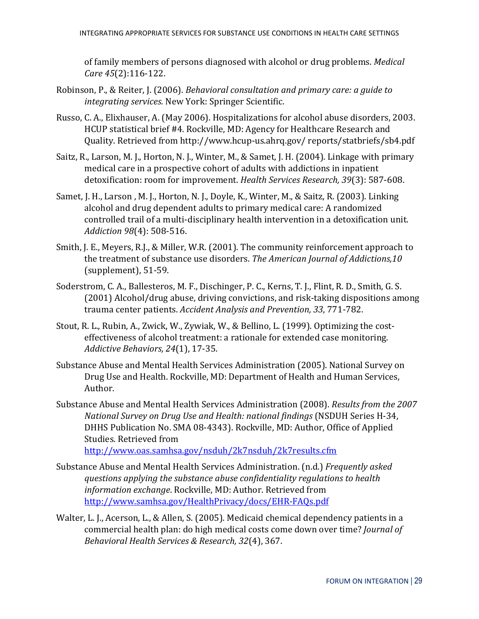of family members of persons diagnosed with alcohol or drug problems. Medical Care 45(2):116-122.

- Robinson, P., & Reiter, J. (2006). Behavioral consultation and primary care: a guide to integrating services. New York: Springer Scientific.
- Russo, C. A., Elixhauser, A. (May 2006). Hospitalizations for alcohol abuse disorders, 2003. HCUP statistical brief #4. Rockville, MD: Agency for Healthcare Research and Quality. Retrieved from http://www.hcup-us.ahrq.gov/ reports/statbriefs/sb4.pdf
- Saitz, R., Larson, M. J., Horton, N. J., Winter, M., & Samet, J. H. (2004). Linkage with primary medical care in a prospective cohort of adults with addictions in inpatient detoxification: room for improvement. Health Services Research, 39(3): 587-608.
- Samet, J. H., Larson , M. J., Horton, N. J., Doyle, K., Winter, M., & Saitz, R. (2003). Linking alcohol and drug dependent adults to primary medical care: A randomized controlled trail of a multi-disciplinary health intervention in a detoxification unit. Addiction 98(4): 508-516.
- Smith, J. E., Meyers, R.J., & Miller, W.R. (2001). The community reinforcement approach to the treatment of substance use disorders. The American Journal of Addictions,10 (supplement), 51-59.
- Soderstrom, C. A., Ballesteros, M. F., Dischinger, P. C., Kerns, T. J., Flint, R. D., Smith, G. S. (2001) Alcohol/drug abuse, driving convictions, and risk-taking dispositions among trauma center patients. Accident Analysis and Prevention, 33, 771-782.
- Stout, R. L., Rubin, A., Zwick, W., Zywiak, W., & Bellino, L. (1999). Optimizing the costeffectiveness of alcohol treatment: a rationale for extended case monitoring. Addictive Behaviors, 24(1), 17-35.
- Substance Abuse and Mental Health Services Administration (2005). National Survey on Drug Use and Health. Rockville, MD: Department of Health and Human Services, Author.
- Substance Abuse and Mental Health Services Administration (2008). Results from the 2007 National Survey on Drug Use and Health: national findings (NSDUH Series H-34, DHHS Publication No. SMA 08-4343). Rockville, MD: Author, Office of Applied Studies. Retrieved from http://www.oas.samhsa.gov/nsduh/2k7nsduh/2k7results.cfm
- Substance Abuse and Mental Health Services Administration. (n.d.) Frequently asked questions applying the substance abuse confidentiality regulations to health information exchange. Rockville, MD: Author. Retrieved from http://www.samhsa.gov/HealthPrivacy/docs/EHR-FAQs.pdf
- Walter, L. J., Acerson, L., & Allen, S. (2005). Medicaid chemical dependency patients in a commercial health plan: do high medical costs come down over time? Journal of Behavioral Health Services & Research, 32(4), 367.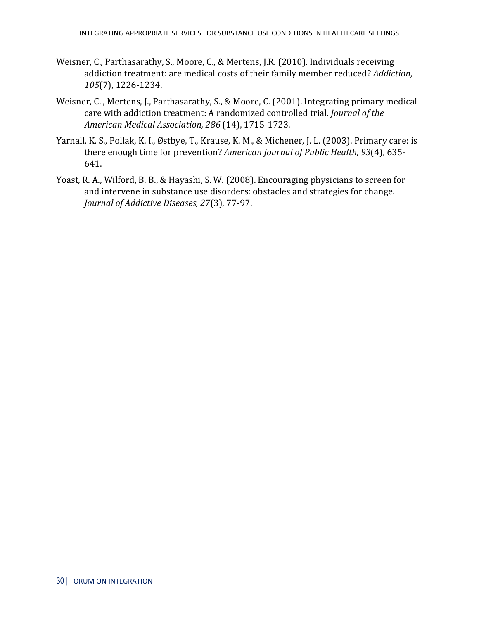- Weisner, C., Parthasarathy, S., Moore, C., & Mertens, J.R. (2010). Individuals receiving addiction treatment: are medical costs of their family member reduced? Addiction, 105(7), 1226-1234.
- Weisner, C. , Mertens, J., Parthasarathy, S., & Moore, C. (2001). Integrating primary medical care with addiction treatment: A randomized controlled trial. Journal of the American Medical Association, 286 (14), 1715-1723.
- Yarnall, K. S., Pollak, K. I., Østbye, T., Krause, K. M., & Michener, J. L. (2003). Primary care: is there enough time for prevention? American Journal of Public Health, 93(4), 635- 641.
- Yoast, R. A., Wilford, B. B., & Hayashi, S. W. (2008). Encouraging physicians to screen for and intervene in substance use disorders: obstacles and strategies for change. Journal of Addictive Diseases, 27(3), 77-97.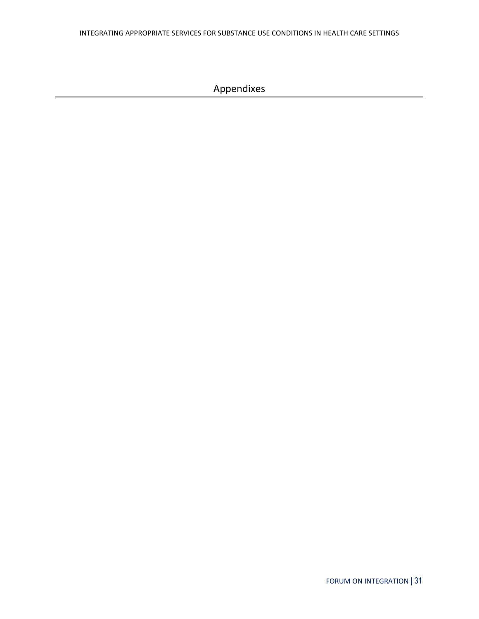Appendixes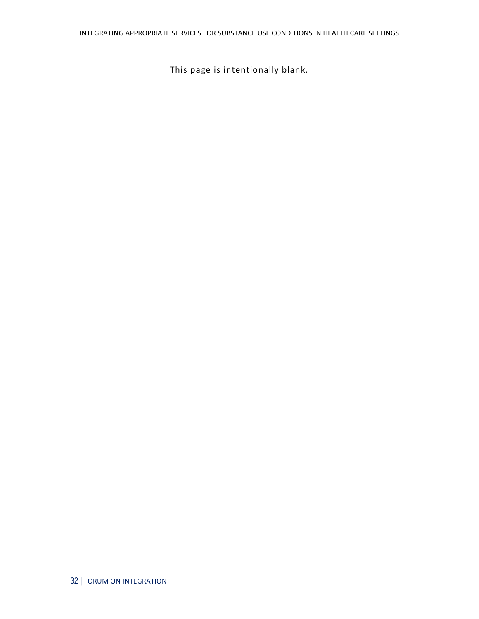This page is intentionally blank.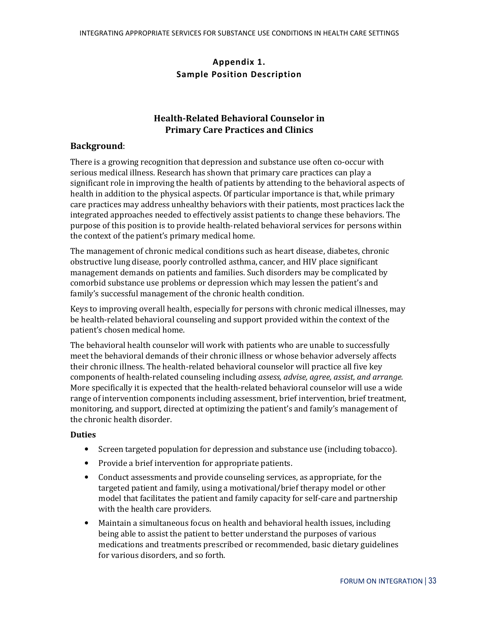# Appendix 1. Sample Position Description

# Health-Related Behavioral Counselor in Primary Care Practices and Clinics

## Background:

There is a growing recognition that depression and substance use often co-occur with serious medical illness. Research has shown that primary care practices can play a significant role in improving the health of patients by attending to the behavioral aspects of health in addition to the physical aspects. Of particular importance is that, while primary care practices may address unhealthy behaviors with their patients, most practices lack the integrated approaches needed to effectively assist patients to change these behaviors. The purpose of this position is to provide health-related behavioral services for persons within the context of the patient's primary medical home.

The management of chronic medical conditions such as heart disease, diabetes, chronic obstructive lung disease, poorly controlled asthma, cancer, and HIV place significant management demands on patients and families. Such disorders may be complicated by comorbid substance use problems or depression which may lessen the patient's and family's successful management of the chronic health condition.

Keys to improving overall health, especially for persons with chronic medical illnesses, may be health-related behavioral counseling and support provided within the context of the patient's chosen medical home.

The behavioral health counselor will work with patients who are unable to successfully meet the behavioral demands of their chronic illness or whose behavior adversely affects their chronic illness. The health-related behavioral counselor will practice all five key components of health-related counseling including assess, advise, agree, assist, and arrange. More specifically it is expected that the health-related behavioral counselor will use a wide range of intervention components including assessment, brief intervention, brief treatment, monitoring, and support, directed at optimizing the patient's and family's management of the chronic health disorder.

### Duties

- Screen targeted population for depression and substance use (including tobacco).
- Provide a brief intervention for appropriate patients.
- Conduct assessments and provide counseling services, as appropriate, for the targeted patient and family, using a motivational/brief therapy model or other model that facilitates the patient and family capacity for self-care and partnership with the health care providers.
- Maintain a simultaneous focus on health and behavioral health issues, including being able to assist the patient to better understand the purposes of various medications and treatments prescribed or recommended, basic dietary guidelines for various disorders, and so forth.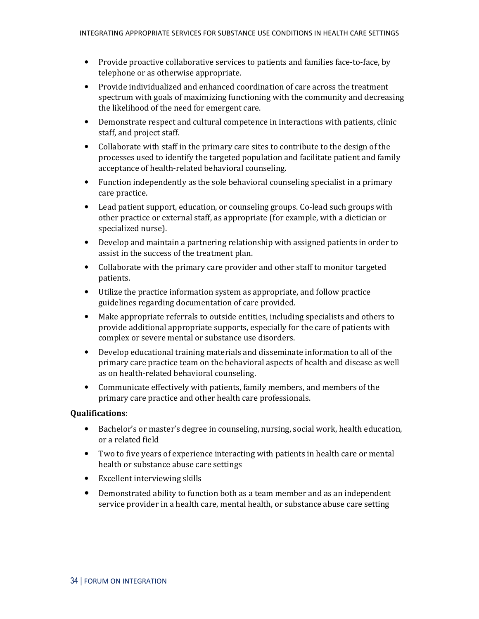- Provide proactive collaborative services to patients and families face-to-face, by telephone or as otherwise appropriate.
- Provide individualized and enhanced coordination of care across the treatment spectrum with goals of maximizing functioning with the community and decreasing the likelihood of the need for emergent care.
- Demonstrate respect and cultural competence in interactions with patients, clinic staff, and project staff.
- Collaborate with staff in the primary care sites to contribute to the design of the processes used to identify the targeted population and facilitate patient and family acceptance of health-related behavioral counseling.
- Function independently as the sole behavioral counseling specialist in a primary care practice.
- Lead patient support, education, or counseling groups. Co-lead such groups with other practice or external staff, as appropriate (for example, with a dietician or specialized nurse).
- Develop and maintain a partnering relationship with assigned patients in order to assist in the success of the treatment plan.
- Collaborate with the primary care provider and other staff to monitor targeted patients.
- Utilize the practice information system as appropriate, and follow practice guidelines regarding documentation of care provided.
- Make appropriate referrals to outside entities, including specialists and others to provide additional appropriate supports, especially for the care of patients with complex or severe mental or substance use disorders.
- Develop educational training materials and disseminate information to all of the primary care practice team on the behavioral aspects of health and disease as well as on health-related behavioral counseling.
- Communicate effectively with patients, family members, and members of the primary care practice and other health care professionals.

## Qualifications:

- Bachelor's or master's degree in counseling, nursing, social work, health education, or a related field
- Two to five years of experience interacting with patients in health care or mental health or substance abuse care settings
- Excellent interviewing skills
- Demonstrated ability to function both as a team member and as an independent service provider in a health care, mental health, or substance abuse care setting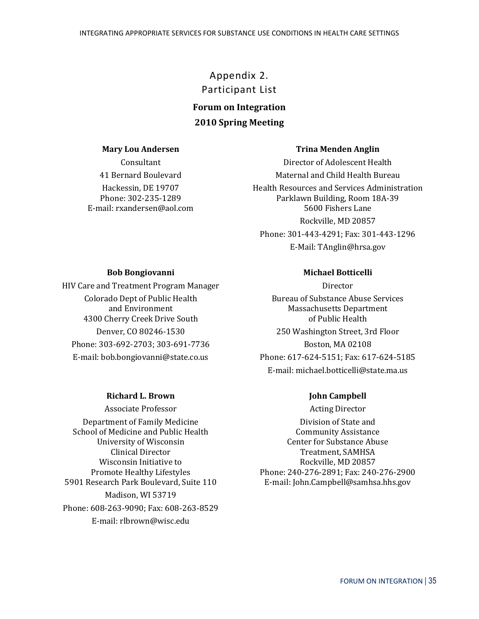# Appendix 2. Participant List Forum on Integration 2010 Spring Meeting

Hackessin, DE 19707 Phone: 302-235-1289

### Mary Lou Andersen **Mary Louis Anglie** Menden Anglin

Consultant Director of Adolescent Health 41 Bernard Boulevard Maternal and Child Health Bureau Health Resources and Services Administration Parklawn Building, Room 18A-39 E-mail: rxandersen@aol.com 5600 Fishers Lane Rockville, MD 20857 Phone: 301-443-4291; Fax: 301-443-1296 E-Mail: TAnglin@hrsa.gov

HIV Care and Treatment Program Manager **Director** Director Colorado Dept of Public Health and Environment 4300 Cherry Creek Drive South of Public Health Phone: 303-692-2703; 303-691-7736 Boston, MA 02108

### Richard L. Brown John Campbell

Associate Professor **Acting Director** Acting Director Department of Family Medicine School of Medicine and Public Health University of Wisconsin Clinical Director Wisconsin Initiative to Promote Healthy Lifestyles 5901 Research Park Boulevard, Suite 110 E-mail: John.Campbell@samhsa.hhs.gov Madison, WI 53719 Phone: 608-263-9090; Fax: 608-263-8529 E-mail: rlbrown@wisc.edu

### Bob Bongiovanni Michael Botticelli

Bureau of Substance Abuse Services Massachusetts Department Denver, CO 80246-1530 250 Washington Street, 3rd Floor E-mail: bob.bongiovanni@state.co.us Phone: 617-624-5151; Fax: 617-624-5185 E-mail: michael.botticelli@state.ma.us

Division of State and Community Assistance Center for Substance Abuse Treatment, SAMHSA Rockville, MD 20857 Phone: 240-276-2891; Fax: 240-276-2900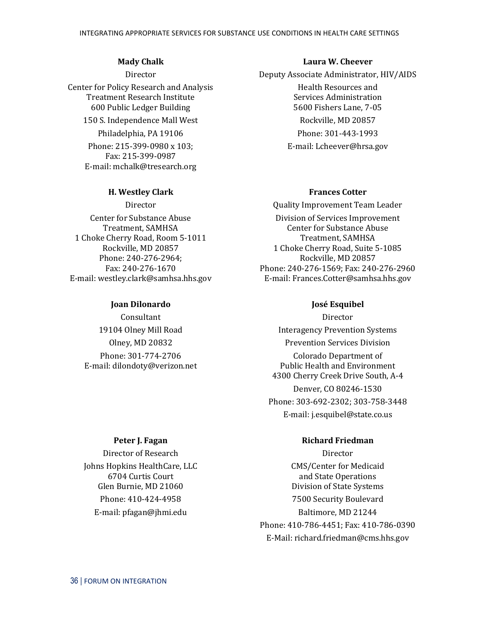Center for Policy Research and Analysis Treatment Research Institute 600 Public Ledger Building 5600 Fishers Lane, 7-05 150 S. Independence Mall West Rockville, MD 20857 Philadelphia, PA 19106 Phone: 301-443-1993 Phone: 215-399-0980 x 103; Fax: 215-399-0987 E-mail: mchalk@tresearch.org

### H. Westley Clark Frances Cotter

Center for Substance Abuse Treatment, SAMHSA 1 Choke Cherry Road, Room 5-1011 Rockville, MD 20857 Phone: 240-276-2964; Fax: 240-276-1670

### Joan Dilonardo José Esquibel

Phone: 301-774-2706 E-mail: dilondoty@verizon.net

### Mady Chalk **Laura W. Cheever**

Director Deputy Associate Administrator, HIV/AIDS

Health Resources and Services Administration E-mail: Lcheever@hrsa.gov

Director Quality Improvement Team Leader Division of Services Improvement Center for Substance Abuse Treatment, SAMHSA 1 Choke Cherry Road, Suite 5-1085 Rockville, MD 20857 Phone: 240-276-1569; Fax: 240-276-2960 E-mail: westley.clark@samhsa.hhs.gov E-mail: Frances.Cotter@samhsa.hhs.gov

Consultant Director 19104 Olney Mill Road **Interagency Prevention Systems** Olney, MD 20832 Prevention Services Division Colorado Department of Public Health and Environment 4300 Cherry Creek Drive South, A-4 Denver, CO 80246-1530 Phone: 303-692-2302; 303-758-3448 E-mail: j.esquibel@state.co.us

### Peter J. Fagan Richard Friedman

CMS/Center for Medicaid and State Operations Glen Burnie, MD 21060 Division of State Systems Phone: 410-424-4958 7500 Security Boulevard E-mail: pfagan@jhmi.edu Baltimore, MD 21244 Phone: 410-786-4451; Fax: 410-786-0390 E-Mail: richard.friedman@cms.hhs.gov

Director of Research Director Johns Hopkins HealthCare, LLC 6704 Curtis Court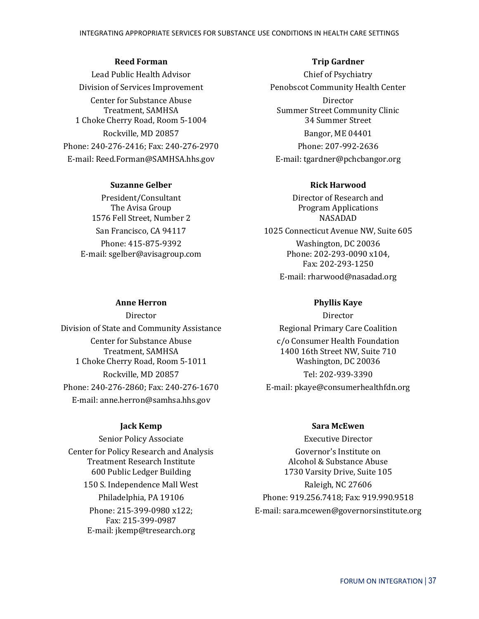### Reed Forman Trip Gardner

Lead Public Health Advisor **Chief of Psychiatry** Chief of Psychiatry Division of Services Improvement Penobscot Community Health Center Center for Substance Abuse Treatment, SAMHSA 1 Choke Cherry Road, Room 5-1004 34 Summer Street Rockville, MD 20857 Bangor, ME 04401 Phone: 240-276-2416; Fax: 240-276-2970 Phone: 207-992-2636 E-mail: Reed.Forman@SAMHSA.hhs.gov E-mail: tgardner@pchcbangor.org

### Suzanne Gelber **Rick Harwood**

President/Consultant The Avisa Group 1576 Fell Street, Number 2 NASADAD San Francisco, CA 94117 1025 Connecticut Avenue NW, Suite 605 Phone: 415-875-9392 E-mail: sgelber@avisagroup.com

### Anne Herron **Phyllis Kaye**

Director Director Division of State and Community Assistance Regional Primary Care Coalition Center for Substance Abuse Treatment, SAMHSA 1 Choke Cherry Road, Room 5-1011 Washington, DC 20036 Rockville, MD 20857 Tel: 202-939-3390 Phone: 240-276-2860; Fax: 240-276-1670 E-mail: pkaye@consumerhealthfdn.org E-mail: anne.herron@samhsa.hhs.gov

Center for Policy Research and Analysis Treatment Research Institute 150 S. Independence Mall West Raleigh, NC 27606 Phone: 215-399-0980 x122; Fax: 215-399-0987 E-mail: jkemp@tresearch.org

Director Summer Street Community Clinic

Director of Research and Program Applications

Washington, DC 20036 Phone: 202-293-0090 x104, Fax: 202-293-1250

E-mail: rharwood@nasadad.org

c/o Consumer Health Foundation 1400 16th Street NW, Suite 710

### Jack Kemp Sara McEwen

Senior Policy Associate **Executive Director** Governor's Institute on Alcohol & Substance Abuse 600 Public Ledger Building 1730 Varsity Drive, Suite 105 Philadelphia, PA 19106 Phone: 919.256.7418; Fax: 919.990.9518 E-mail: sara.mcewen@governorsinstitute.org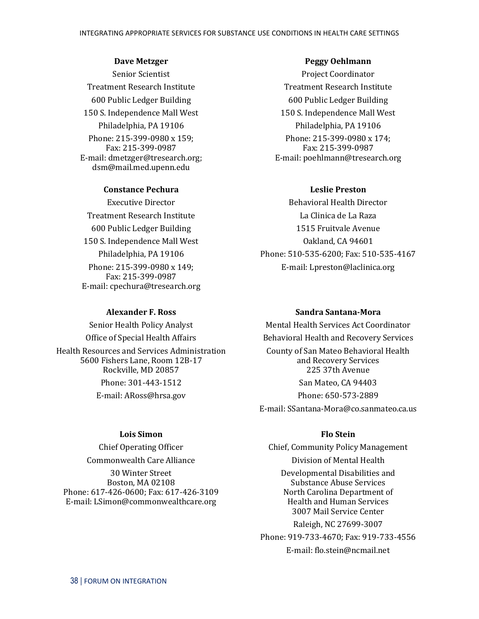Senior Scientist Project Coordinator Phone: 215-399-0980 x 159; Fax: 215-399-0987 E-mail: dmetzger@tresearch.org; dsm@mail.med.upenn.edu

### **Constance Pechura** Leslie Preston

Treatment Research Institute La Clinica de La Raza 150 S. Independence Mall West **Canadian Canadian CA 94601** Oakland, CA 94601 Phone: 215-399-0980 x 149; Fax: 215-399-0987 E-mail: cpechura@tresearch.org

Health Resources and Services Administration 5600 Fishers Lane, Room 12B-17 Rockville, MD 20857 Phone: 301-443-1512 San Mateo, CA 94403

### **Lois Simon** Flo Stein

30 Winter Street Boston, MA 02108 Phone: 617-426-0600; Fax: 617-426-3109 E-mail: LSimon@commonwealthcare.org

### Dave Metzger Peggy Oehlmann

Treatment Research Institute Treatment Research Institute 600 Public Ledger Building 600 Public Ledger Building 150 S. Independence Mall West 150 S. Independence Mall West Philadelphia, PA 19106 **Philadelphia, PA 19106** Phone: 215-399-0980 x 174; Fax: 215-399-0987 E-mail: poehlmann@tresearch.org

Executive Director **Behavioral Health Director Behavioral Health Director** 600 Public Ledger Building 1515 Fruitvale Avenue Philadelphia, PA 19106 Phone: 510-535-6200; Fax: 510-535-4167 E-mail: Lpreston@laclinica.org

### Alexander F. Ross Sandra Sandra Santana-Mora

Senior Health Policy Analyst **Mental Health Services Act Coordinator** Mental Health Services Act Coordinator Office of Special Health Affairs Behavioral Health and Recovery Services County of San Mateo Behavioral Health and Recovery Services E-mail: ARoss@hrsa.gov Phone: 650-573-2889

E-mail: SSantana-Mora@co.sanmateo.ca.us

Chief Operating Officer Chief, Community Policy Management Commonwealth Care Alliance **Division of Mental Health** 

Developmental Disabilities and Substance Abuse Services North Carolina Department of Health and Human Services 3007 Mail Service Center

Raleigh, NC 27699-3007

Phone: 919-733-4670; Fax: 919-733-4556 E-mail: flo.stein@ncmail.net